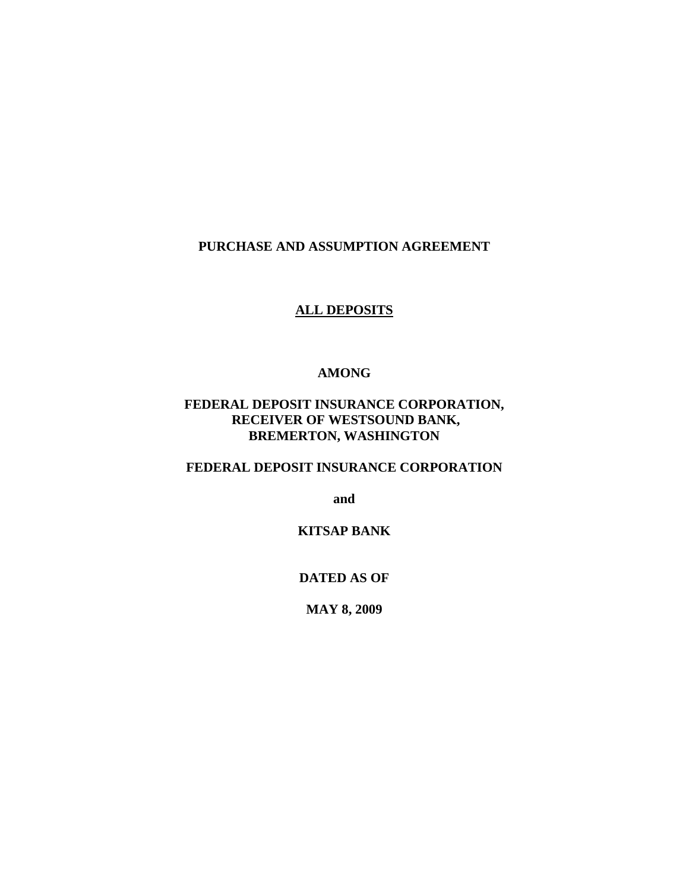#### **PURCHASE AND ASSUMPTION AGREEMENT**

#### **ALL DEPOSITS**

#### **AMONG**

#### **FEDERAL DEPOSIT INSURANCE CORPORATION, RECEIVER OF WESTSOUND BANK, BREMERTON, WASHINGTON**

#### **FEDERAL DEPOSIT INSURANCE CORPORATION**

**and** 

#### **KITSAP BANK**

### **DATED AS OF**

#### **MAY 8, 2009**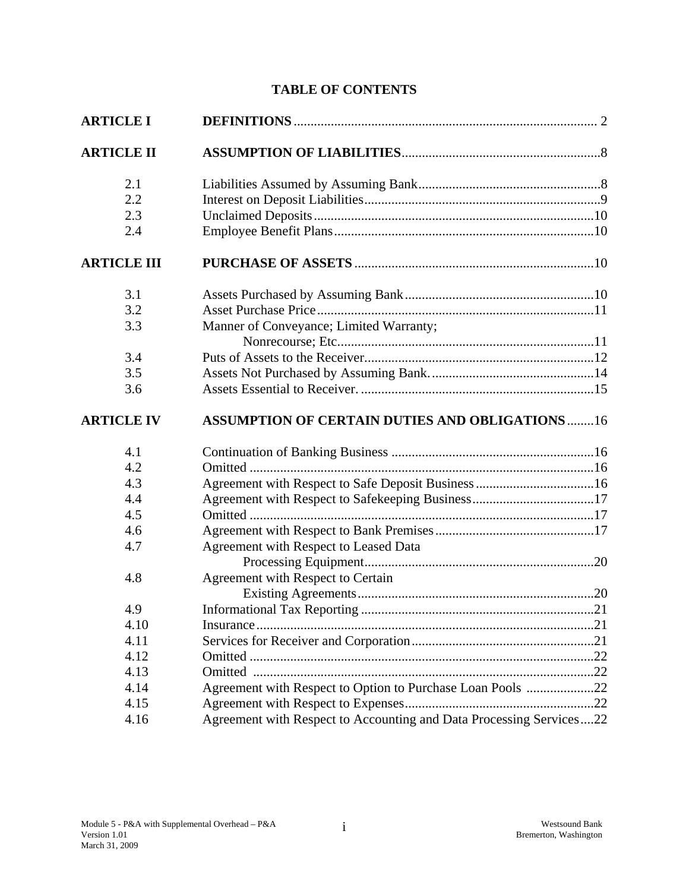# **TABLE OF CONTENTS**

| <b>ARTICLE I</b>   |                                                                     |  |
|--------------------|---------------------------------------------------------------------|--|
| <b>ARTICLE II</b>  |                                                                     |  |
| 2.1                |                                                                     |  |
| 2.2                |                                                                     |  |
| 2.3                |                                                                     |  |
| 2.4                |                                                                     |  |
| <b>ARTICLE III</b> |                                                                     |  |
| 3.1                |                                                                     |  |
| 3.2                |                                                                     |  |
| 3.3                | Manner of Conveyance; Limited Warranty;                             |  |
|                    |                                                                     |  |
| 3.4                |                                                                     |  |
| 3.5                |                                                                     |  |
| 3.6                |                                                                     |  |
| <b>ARTICLE IV</b>  | <b>ASSUMPTION OF CERTAIN DUTIES AND OBLIGATIONS 16</b>              |  |
| 4.1                |                                                                     |  |
| 4.2                |                                                                     |  |
| 4.3                |                                                                     |  |
| 4.4                |                                                                     |  |
| 4.5                |                                                                     |  |
| 4.6                |                                                                     |  |
| 4.7                | Agreement with Respect to Leased Data                               |  |
|                    |                                                                     |  |
| 4.8                | Agreement with Respect to Certain                                   |  |
|                    |                                                                     |  |
| 4.9                |                                                                     |  |
| 4.10               |                                                                     |  |
| 4.11               |                                                                     |  |
| 4.12               |                                                                     |  |
| 4.13               |                                                                     |  |
| 4.14               | Agreement with Respect to Option to Purchase Loan Pools 22          |  |
| 4.15               |                                                                     |  |
| 4.16               | Agreement with Respect to Accounting and Data Processing Services22 |  |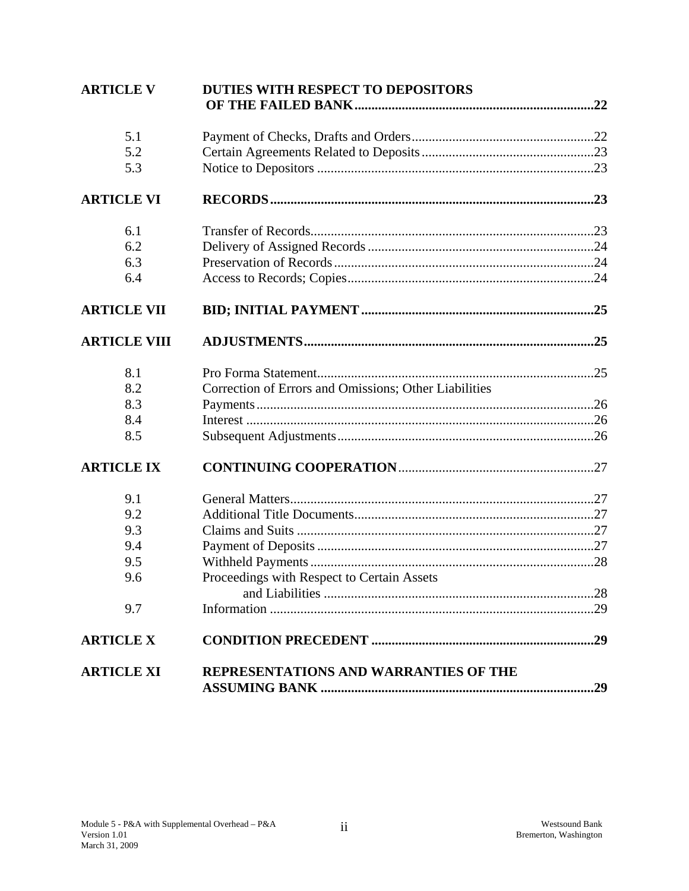| <b>ARTICLE V</b>    | <b>DUTIES WITH RESPECT TO DEPOSITORS</b>              |  |  |
|---------------------|-------------------------------------------------------|--|--|
|                     |                                                       |  |  |
| 5.1                 |                                                       |  |  |
| 5.2                 |                                                       |  |  |
| 5.3                 |                                                       |  |  |
| <b>ARTICLE VI</b>   |                                                       |  |  |
| 6.1                 |                                                       |  |  |
| 6.2                 |                                                       |  |  |
| 6.3                 |                                                       |  |  |
| 6.4                 |                                                       |  |  |
| <b>ARTICLE VII</b>  |                                                       |  |  |
| <b>ARTICLE VIII</b> |                                                       |  |  |
| 8.1                 |                                                       |  |  |
| 8.2                 | Correction of Errors and Omissions; Other Liabilities |  |  |
| 8.3                 |                                                       |  |  |
| 8.4                 |                                                       |  |  |
| 8.5                 |                                                       |  |  |
| <b>ARTICLE IX</b>   |                                                       |  |  |
| 9.1                 |                                                       |  |  |
| 9.2                 |                                                       |  |  |
| 9.3                 |                                                       |  |  |
| 9.4                 |                                                       |  |  |
| 9.5                 |                                                       |  |  |
| 9.6                 | Proceedings with Respect to Certain Assets            |  |  |
| 9.7                 |                                                       |  |  |
| <b>ARTICLE X</b>    |                                                       |  |  |
| <b>ARTICLE XI</b>   | REPRESENTATIONS AND WARRANTIES OF THE                 |  |  |
|                     |                                                       |  |  |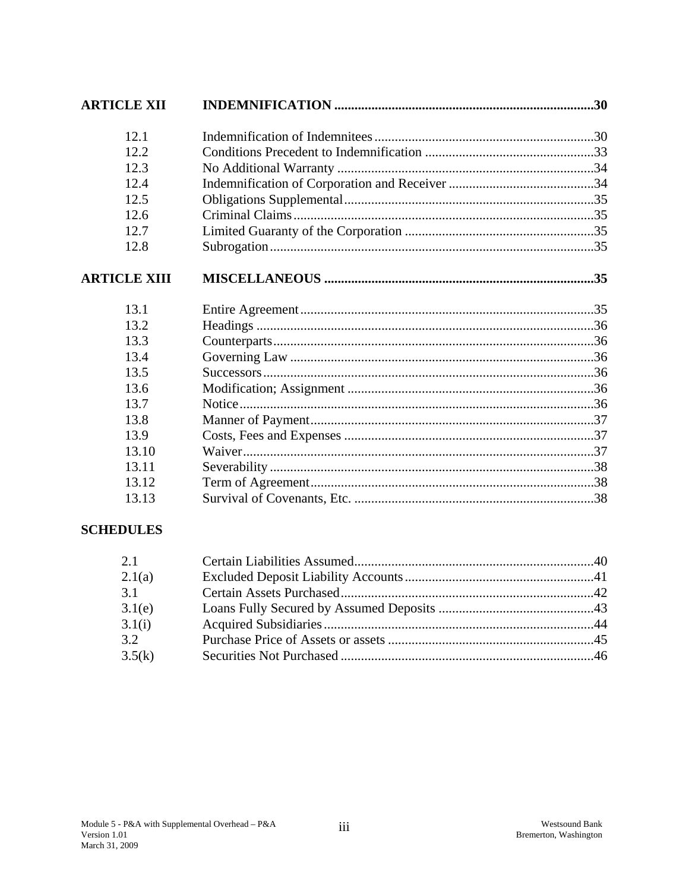| <b>ARTICLE XII</b>  |  |
|---------------------|--|
| 12.1                |  |
| 12.2                |  |
| 12.3                |  |
| 12.4                |  |
| 12.5                |  |
| 12.6                |  |
| 12.7                |  |
| 12.8                |  |
| <b>ARTICLE XIII</b> |  |
| 13.1                |  |
| 13.2                |  |
| 13.3                |  |
| 13.4                |  |
| 13.5                |  |
| 13.6                |  |
| 13.7                |  |
| 13.8                |  |
| 13.9                |  |
| 13.10               |  |
| 13.11               |  |
| 13.12               |  |
| 13.13               |  |

## **SCHEDULES**

| 2.1    |  |
|--------|--|
| 2.1(a) |  |
| 3.1    |  |
| 3.1(e) |  |
| 3.1(i) |  |
| 3.2    |  |
| 3.5(k) |  |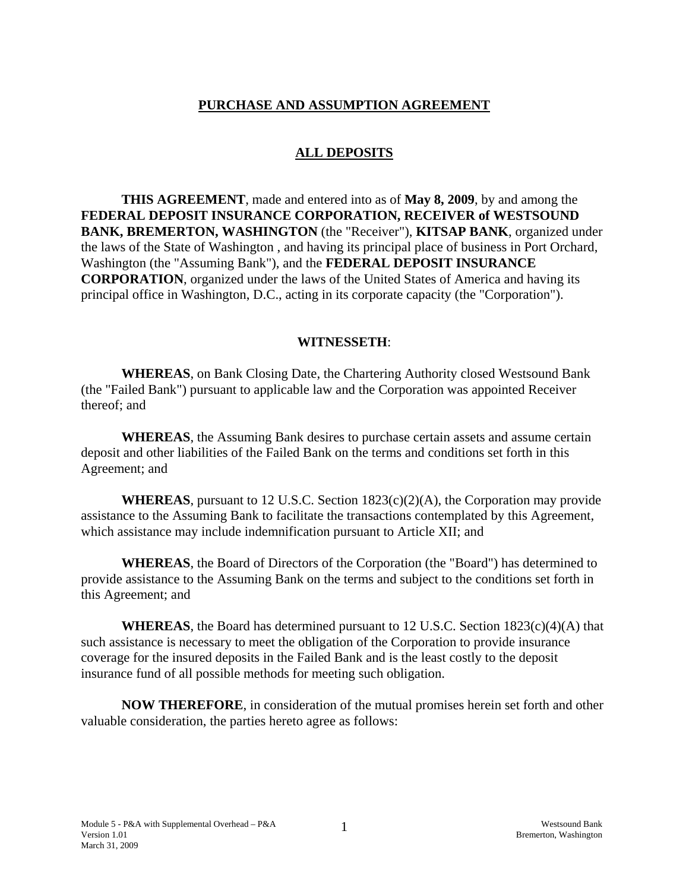#### **PURCHASE AND ASSUMPTION AGREEMENT**

#### **ALL DEPOSITS**

**THIS AGREEMENT**, made and entered into as of **May 8, 2009**, by and among the **FEDERAL DEPOSIT INSURANCE CORPORATION, RECEIVER of WESTSOUND BANK, BREMERTON, WASHINGTON** (the "Receiver"), **KITSAP BANK**, organized under the laws of the State of Washington , and having its principal place of business in Port Orchard, Washington (the "Assuming Bank"), and the **FEDERAL DEPOSIT INSURANCE CORPORATION**, organized under the laws of the United States of America and having its principal office in Washington, D.C., acting in its corporate capacity (the "Corporation").

#### **WITNESSETH**:

**WHEREAS**, on Bank Closing Date, the Chartering Authority closed Westsound Bank (the "Failed Bank") pursuant to applicable law and the Corporation was appointed Receiver thereof; and

**WHEREAS**, the Assuming Bank desires to purchase certain assets and assume certain deposit and other liabilities of the Failed Bank on the terms and conditions set forth in this Agreement; and

**WHEREAS**, pursuant to 12 U.S.C. Section 1823(c)(2)(A), the Corporation may provide assistance to the Assuming Bank to facilitate the transactions contemplated by this Agreement, which assistance may include indemnification pursuant to Article XII; and

**WHEREAS**, the Board of Directors of the Corporation (the "Board") has determined to provide assistance to the Assuming Bank on the terms and subject to the conditions set forth in this Agreement; and

**WHEREAS**, the Board has determined pursuant to 12 U.S.C. Section  $1823(c)(4)(A)$  that such assistance is necessary to meet the obligation of the Corporation to provide insurance coverage for the insured deposits in the Failed Bank and is the least costly to the deposit insurance fund of all possible methods for meeting such obligation.

**NOW THEREFORE**, in consideration of the mutual promises herein set forth and other valuable consideration, the parties hereto agree as follows: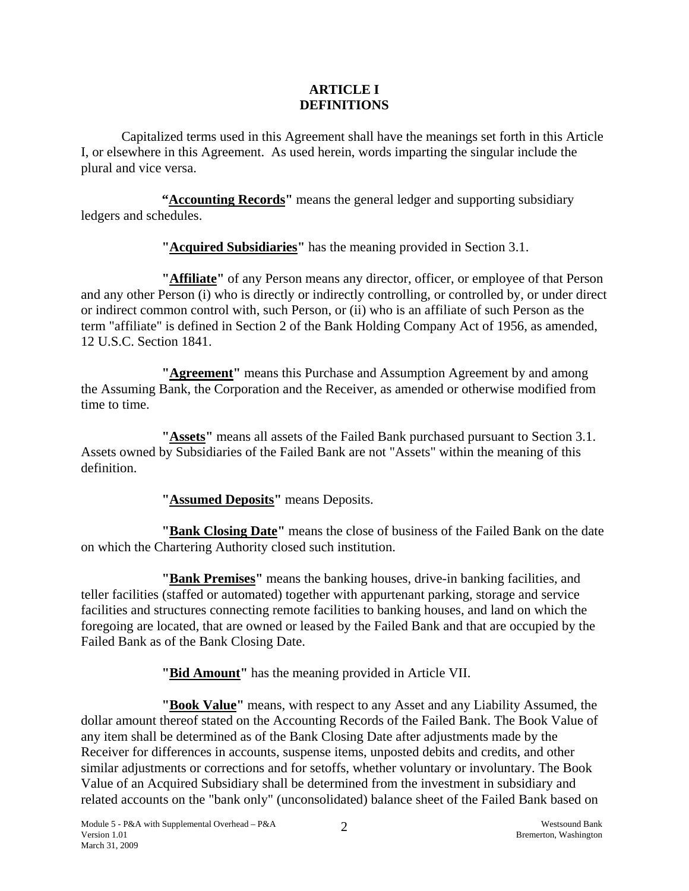### **ARTICLE I DEFINITIONS**

<span id="page-5-0"></span>Capitalized terms used in this Agreement shall have the meanings set forth in this Article I, or elsewhere in this Agreement. As used herein, words imparting the singular include the plural and vice versa.

**"Accounting Records"** means the general ledger and supporting subsidiary ledgers and schedules.

**"Acquired Subsidiaries"** has the meaning provided in Section 3.1.

**"Affiliate"** of any Person means any director, officer, or employee of that Person and any other Person (i) who is directly or indirectly controlling, or controlled by, or under direct or indirect common control with, such Person, or (ii) who is an affiliate of such Person as the term "affiliate" is defined in Section 2 of the Bank Holding Company Act of 1956, as amended, 12 U.S.C. Section 1841.

**"Agreement"** means this Purchase and Assumption Agreement by and among the Assuming Bank, the Corporation and the Receiver, as amended or otherwise modified from time to time.

**"Assets"** means all assets of the Failed Bank purchased pursuant to Section 3.1. Assets owned by Subsidiaries of the Failed Bank are not "Assets" within the meaning of this definition.

**"Assumed Deposits"** means Deposits.

**"Bank Closing Date"** means the close of business of the Failed Bank on the date on which the Chartering Authority closed such institution.

**"Bank Premises"** means the banking houses, drive-in banking facilities, and teller facilities (staffed or automated) together with appurtenant parking, storage and service facilities and structures connecting remote facilities to banking houses, and land on which the foregoing are located, that are owned or leased by the Failed Bank and that are occupied by the Failed Bank as of the Bank Closing Date.

**"Bid Amount"** has the meaning provided in Article VII.

**"Book Value"** means, with respect to any Asset and any Liability Assumed, the dollar amount thereof stated on the Accounting Records of the Failed Bank. The Book Value of any item shall be determined as of the Bank Closing Date after adjustments made by the Receiver for differences in accounts, suspense items, unposted debits and credits, and other similar adjustments or corrections and for setoffs, whether voluntary or involuntary. The Book Value of an Acquired Subsidiary shall be determined from the investment in subsidiary and related accounts on the "bank only" (unconsolidated) balance sheet of the Failed Bank based on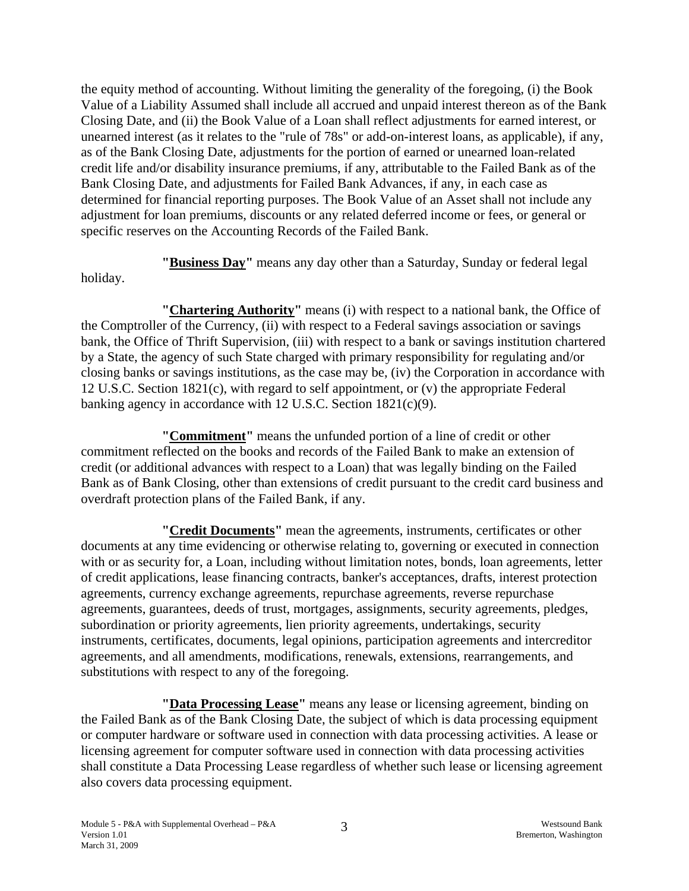the equity method of accounting. Without limiting the generality of the foregoing, (i) the Book Value of a Liability Assumed shall include all accrued and unpaid interest thereon as of the Bank Closing Date, and (ii) the Book Value of a Loan shall reflect adjustments for earned interest, or unearned interest (as it relates to the "rule of 78s" or add-on-interest loans, as applicable), if any, as of the Bank Closing Date, adjustments for the portion of earned or unearned loan-related credit life and/or disability insurance premiums, if any, attributable to the Failed Bank as of the Bank Closing Date, and adjustments for Failed Bank Advances, if any, in each case as determined for financial reporting purposes. The Book Value of an Asset shall not include any adjustment for loan premiums, discounts or any related deferred income or fees, or general or specific reserves on the Accounting Records of the Failed Bank.

**"Business Day"** means any day other than a Saturday, Sunday or federal legal holiday.

**"Chartering Authority"** means (i) with respect to a national bank, the Office of the Comptroller of the Currency, (ii) with respect to a Federal savings association or savings bank, the Office of Thrift Supervision, (iii) with respect to a bank or savings institution chartered by a State, the agency of such State charged with primary responsibility for regulating and/or closing banks or savings institutions, as the case may be, (iv) the Corporation in accordance with 12 U.S.C. Section 1821(c), with regard to self appointment, or (v) the appropriate Federal banking agency in accordance with 12 U.S.C. Section 1821(c)(9).

**"Commitment"** means the unfunded portion of a line of credit or other commitment reflected on the books and records of the Failed Bank to make an extension of credit (or additional advances with respect to a Loan) that was legally binding on the Failed Bank as of Bank Closing, other than extensions of credit pursuant to the credit card business and overdraft protection plans of the Failed Bank, if any.

**"Credit Documents"** mean the agreements, instruments, certificates or other documents at any time evidencing or otherwise relating to, governing or executed in connection with or as security for, a Loan, including without limitation notes, bonds, loan agreements, letter of credit applications, lease financing contracts, banker's acceptances, drafts, interest protection agreements, currency exchange agreements, repurchase agreements, reverse repurchase agreements, guarantees, deeds of trust, mortgages, assignments, security agreements, pledges, subordination or priority agreements, lien priority agreements, undertakings, security instruments, certificates, documents, legal opinions, participation agreements and intercreditor agreements, and all amendments, modifications, renewals, extensions, rearrangements, and substitutions with respect to any of the foregoing.

**"Data Processing Lease"** means any lease or licensing agreement, binding on the Failed Bank as of the Bank Closing Date, the subject of which is data processing equipment or computer hardware or software used in connection with data processing activities. A lease or licensing agreement for computer software used in connection with data processing activities shall constitute a Data Processing Lease regardless of whether such lease or licensing agreement also covers data processing equipment.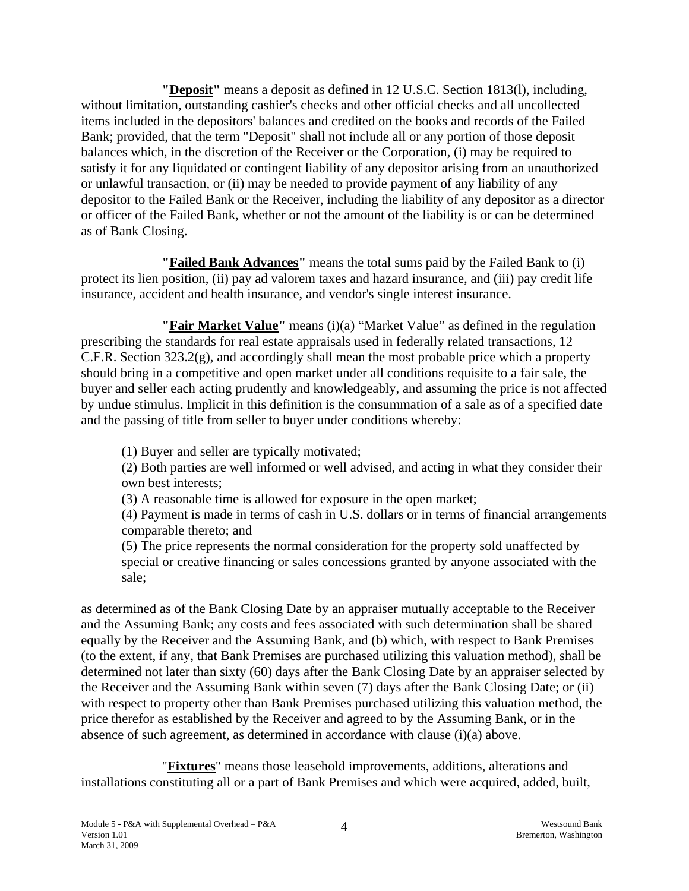**"Deposit"** means a deposit as defined in 12 U.S.C. Section 1813(l), including, without limitation, outstanding cashier's checks and other official checks and all uncollected items included in the depositors' balances and credited on the books and records of the Failed Bank; provided, that the term "Deposit" shall not include all or any portion of those deposit balances which, in the discretion of the Receiver or the Corporation, (i) may be required to satisfy it for any liquidated or contingent liability of any depositor arising from an unauthorized or unlawful transaction, or (ii) may be needed to provide payment of any liability of any depositor to the Failed Bank or the Receiver, including the liability of any depositor as a director or officer of the Failed Bank, whether or not the amount of the liability is or can be determined as of Bank Closing.

**"Failed Bank Advances"** means the total sums paid by the Failed Bank to (i) protect its lien position, (ii) pay ad valorem taxes and hazard insurance, and (iii) pay credit life insurance, accident and health insurance, and vendor's single interest insurance.

**"Fair Market Value"** means (i)(a) "Market Value" as defined in the regulation prescribing the standards for real estate appraisals used in federally related transactions, 12 C.F.R. Section 323.2(g), and accordingly shall mean the most probable price which a property should bring in a competitive and open market under all conditions requisite to a fair sale, the buyer and seller each acting prudently and knowledgeably, and assuming the price is not affected by undue stimulus. Implicit in this definition is the consummation of a sale as of a specified date and the passing of title from seller to buyer under conditions whereby:

(1) Buyer and seller are typically motivated;

(2) Both parties are well informed or well advised, and acting in what they consider their own best interests;

(3) A reasonable time is allowed for exposure in the open market;

(4) Payment is made in terms of cash in U.S. dollars or in terms of financial arrangements comparable thereto; and

(5) The price represents the normal consideration for the property sold unaffected by special or creative financing or sales concessions granted by anyone associated with the sale;

as determined as of the Bank Closing Date by an appraiser mutually acceptable to the Receiver and the Assuming Bank; any costs and fees associated with such determination shall be shared equally by the Receiver and the Assuming Bank, and (b) which, with respect to Bank Premises (to the extent, if any, that Bank Premises are purchased utilizing this valuation method), shall be determined not later than sixty (60) days after the Bank Closing Date by an appraiser selected by the Receiver and the Assuming Bank within seven (7) days after the Bank Closing Date; or (ii) with respect to property other than Bank Premises purchased utilizing this valuation method, the price therefor as established by the Receiver and agreed to by the Assuming Bank, or in the absence of such agreement, as determined in accordance with clause (i)(a) above.

"**Fixtures**" means those leasehold improvements, additions, alterations and installations constituting all or a part of Bank Premises and which were acquired, added, built,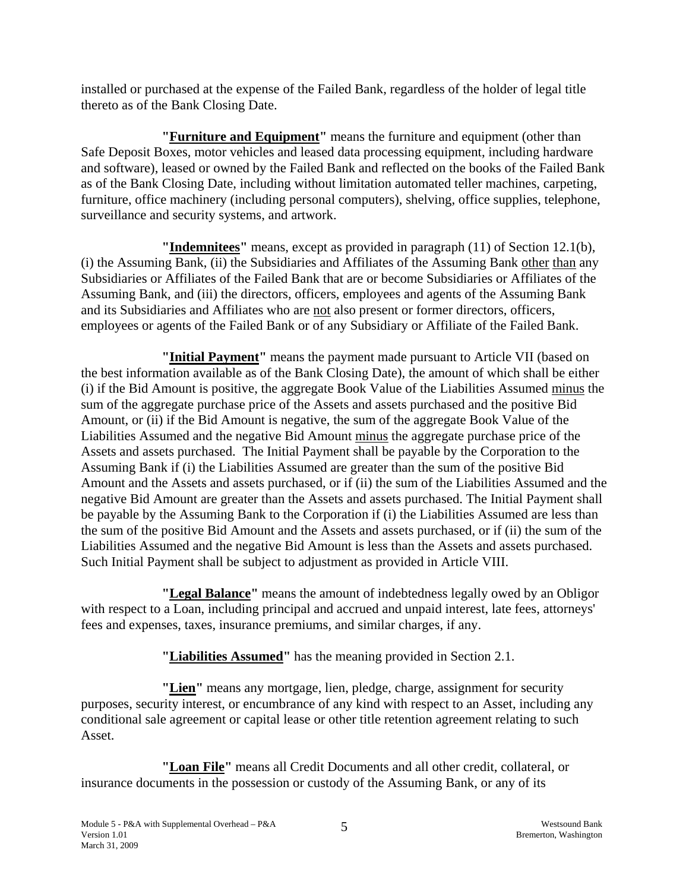installed or purchased at the expense of the Failed Bank, regardless of the holder of legal title thereto as of the Bank Closing Date.

**"Furniture and Equipment"** means the furniture and equipment (other than Safe Deposit Boxes, motor vehicles and leased data processing equipment, including hardware and software), leased or owned by the Failed Bank and reflected on the books of the Failed Bank as of the Bank Closing Date, including without limitation automated teller machines, carpeting, furniture, office machinery (including personal computers), shelving, office supplies, telephone, surveillance and security systems, and artwork.

**"Indemnitees"** means, except as provided in paragraph (11) of Section 12.1(b), (i) the Assuming Bank, (ii) the Subsidiaries and Affiliates of the Assuming Bank other than any Subsidiaries or Affiliates of the Failed Bank that are or become Subsidiaries or Affiliates of the Assuming Bank, and (iii) the directors, officers, employees and agents of the Assuming Bank and its Subsidiaries and Affiliates who are not also present or former directors, officers, employees or agents of the Failed Bank or of any Subsidiary or Affiliate of the Failed Bank.

**"Initial Payment"** means the payment made pursuant to Article VII (based on the best information available as of the Bank Closing Date), the amount of which shall be either (i) if the Bid Amount is positive, the aggregate Book Value of the Liabilities Assumed minus the sum of the aggregate purchase price of the Assets and assets purchased and the positive Bid Amount, or (ii) if the Bid Amount is negative, the sum of the aggregate Book Value of the Liabilities Assumed and the negative Bid Amount minus the aggregate purchase price of the Assets and assets purchased. The Initial Payment shall be payable by the Corporation to the Assuming Bank if (i) the Liabilities Assumed are greater than the sum of the positive Bid Amount and the Assets and assets purchased, or if (ii) the sum of the Liabilities Assumed and the negative Bid Amount are greater than the Assets and assets purchased. The Initial Payment shall be payable by the Assuming Bank to the Corporation if (i) the Liabilities Assumed are less than the sum of the positive Bid Amount and the Assets and assets purchased, or if (ii) the sum of the Liabilities Assumed and the negative Bid Amount is less than the Assets and assets purchased. Such Initial Payment shall be subject to adjustment as provided in Article VIII.

**"Legal Balance"** means the amount of indebtedness legally owed by an Obligor with respect to a Loan, including principal and accrued and unpaid interest, late fees, attorneys' fees and expenses, taxes, insurance premiums, and similar charges, if any.

**"Liabilities Assumed"** has the meaning provided in Section 2.1.

**"Lien"** means any mortgage, lien, pledge, charge, assignment for security purposes, security interest, or encumbrance of any kind with respect to an Asset, including any conditional sale agreement or capital lease or other title retention agreement relating to such Asset.

**"Loan File"** means all Credit Documents and all other credit, collateral, or insurance documents in the possession or custody of the Assuming Bank, or any of its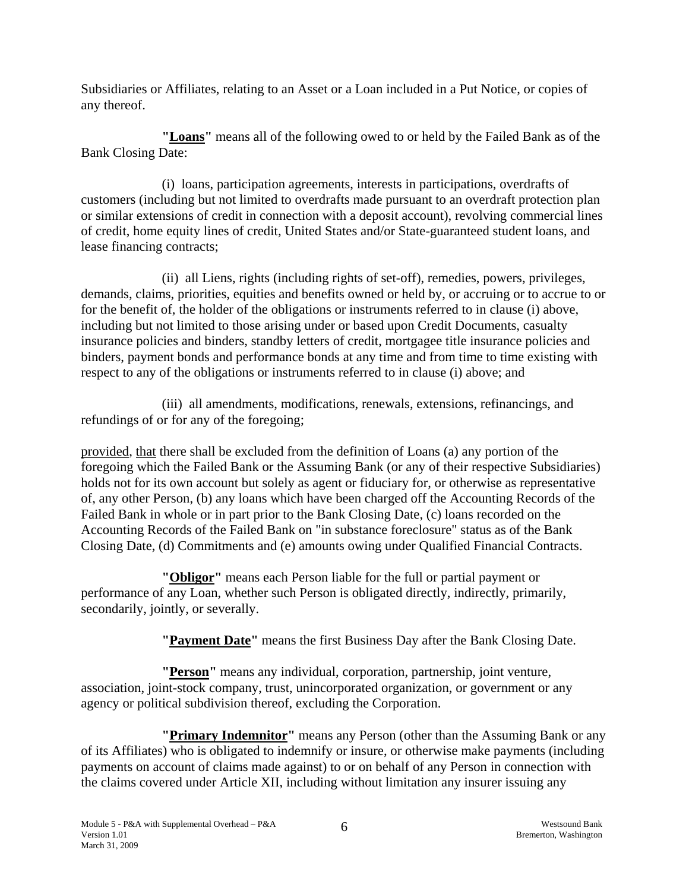any thereof. Subsidiaries or Affiliates, relating to an Asset or a Loan included in a Put Notice, or copies of

**"Loans"** means all of the following owed to or held by the Failed Bank as of the Bank Closing Date:

(i) loans, participation agreements, interests in participations, overdrafts of customers (including but not limited to overdrafts made pursuant to an overdraft protection plan or similar extensions of credit in connection with a deposit account), revolving commercial lines of credit, home equity lines of credit, United States and/or State-guaranteed student loans, and lease financing contracts;

(ii) all Liens, rights (including rights of set-off), remedies, powers, privileges, demands, claims, priorities, equities and benefits owned or held by, or accruing or to accrue to or for the benefit of, the holder of the obligations or instruments referred to in clause (i) above, including but not limited to those arising under or based upon Credit Documents, casualty insurance policies and binders, standby letters of credit, mortgagee title insurance policies and binders, payment bonds and performance bonds at any time and from time to time existing with respect to any of the obligations or instruments referred to in clause (i) above; and

(iii) all amendments, modifications, renewals, extensions, refinancings, and refundings of or for any of the foregoing;

provided, that there shall be excluded from the definition of Loans (a) any portion of the foregoing which the Failed Bank or the Assuming Bank (or any of their respective Subsidiaries) holds not for its own account but solely as agent or fiduciary for, or otherwise as representative of, any other Person, (b) any loans which have been charged off the Accounting Records of the Failed Bank in whole or in part prior to the Bank Closing Date, (c) loans recorded on the Accounting Records of the Failed Bank on "in substance foreclosure" status as of the Bank Closing Date, (d) Commitments and (e) amounts owing under Qualified Financial Contracts.

**"Obligor"** means each Person liable for the full or partial payment or performance of any Loan, whether such Person is obligated directly, indirectly, primarily, secondarily, jointly, or severally.

**"Payment Date"** means the first Business Day after the Bank Closing Date.

**"Person"** means any individual, corporation, partnership, joint venture, association, joint-stock company, trust, unincorporated organization, or government or any agency or political subdivision thereof, excluding the Corporation.

**"Primary Indemnitor"** means any Person (other than the Assuming Bank or any of its Affiliates) who is obligated to indemnify or insure, or otherwise make payments (including payments on account of claims made against) to or on behalf of any Person in connection with the claims covered under Article XII, including without limitation any insurer issuing any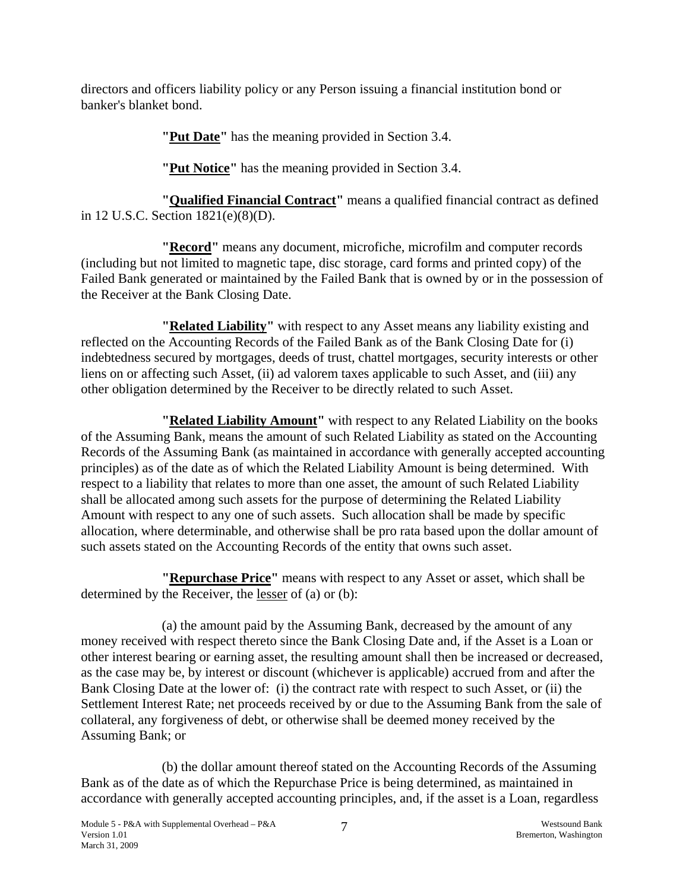directors and officers liability policy or any Person issuing a financial institution bond or banker's blanket bond.

**"Put Date"** has the meaning provided in Section 3.4.

**"Put Notice"** has the meaning provided in Section 3.4.

**"Qualified Financial Contract"** means a qualified financial contract as defined in 12 U.S.C. Section 1821(e)(8)(D).

**"Record"** means any document, microfiche, microfilm and computer records (including but not limited to magnetic tape, disc storage, card forms and printed copy) of the Failed Bank generated or maintained by the Failed Bank that is owned by or in the possession of the Receiver at the Bank Closing Date.

**"Related Liability"** with respect to any Asset means any liability existing and reflected on the Accounting Records of the Failed Bank as of the Bank Closing Date for (i) indebtedness secured by mortgages, deeds of trust, chattel mortgages, security interests or other liens on or affecting such Asset, (ii) ad valorem taxes applicable to such Asset, and (iii) any other obligation determined by the Receiver to be directly related to such Asset.

**"Related Liability Amount"** with respect to any Related Liability on the books of the Assuming Bank, means the amount of such Related Liability as stated on the Accounting Records of the Assuming Bank (as maintained in accordance with generally accepted accounting principles) as of the date as of which the Related Liability Amount is being determined. With respect to a liability that relates to more than one asset, the amount of such Related Liability shall be allocated among such assets for the purpose of determining the Related Liability Amount with respect to any one of such assets. Such allocation shall be made by specific allocation, where determinable, and otherwise shall be pro rata based upon the dollar amount of such assets stated on the Accounting Records of the entity that owns such asset.

**"Repurchase Price"** means with respect to any Asset or asset, which shall be determined by the Receiver, the lesser of (a) or (b):

(a) the amount paid by the Assuming Bank, decreased by the amount of any money received with respect thereto since the Bank Closing Date and, if the Asset is a Loan or other interest bearing or earning asset, the resulting amount shall then be increased or decreased, as the case may be, by interest or discount (whichever is applicable) accrued from and after the Bank Closing Date at the lower of: (i) the contract rate with respect to such Asset, or (ii) the Settlement Interest Rate; net proceeds received by or due to the Assuming Bank from the sale of collateral, any forgiveness of debt, or otherwise shall be deemed money received by the Assuming Bank; or

(b) the dollar amount thereof stated on the Accounting Records of the Assuming Bank as of the date as of which the Repurchase Price is being determined, as maintained in accordance with generally accepted accounting principles, and, if the asset is a Loan, regardless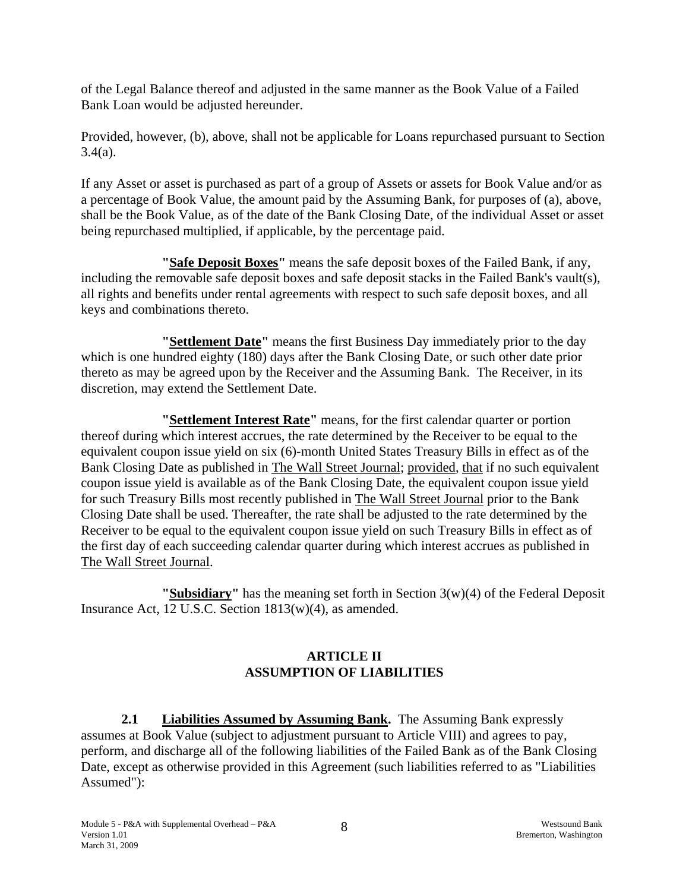<span id="page-11-0"></span>of the Legal Balance thereof and adjusted in the same manner as the Book Value of a Failed Bank Loan would be adjusted hereunder.

Provided, however, (b), above, shall not be applicable for Loans repurchased pursuant to Section  $3.4(a)$ .

If any Asset or asset is purchased as part of a group of Assets or assets for Book Value and/or as a percentage of Book Value, the amount paid by the Assuming Bank, for purposes of (a), above, shall be the Book Value, as of the date of the Bank Closing Date, of the individual Asset or asset being repurchased multiplied, if applicable, by the percentage paid.

**"Safe Deposit Boxes"** means the safe deposit boxes of the Failed Bank, if any, including the removable safe deposit boxes and safe deposit stacks in the Failed Bank's vault(s), all rights and benefits under rental agreements with respect to such safe deposit boxes, and all keys and combinations thereto.

**"Settlement Date"** means the first Business Day immediately prior to the day which is one hundred eighty (180) days after the Bank Closing Date, or such other date prior thereto as may be agreed upon by the Receiver and the Assuming Bank. The Receiver, in its discretion, may extend the Settlement Date.

**"Settlement Interest Rate"** means, for the first calendar quarter or portion thereof during which interest accrues, the rate determined by the Receiver to be equal to the equivalent coupon issue yield on six (6)-month United States Treasury Bills in effect as of the Bank Closing Date as published in The Wall Street Journal; provided, that if no such equivalent coupon issue yield is available as of the Bank Closing Date, the equivalent coupon issue yield for such Treasury Bills most recently published in The Wall Street Journal prior to the Bank Closing Date shall be used. Thereafter, the rate shall be adjusted to the rate determined by the Receiver to be equal to the equivalent coupon issue yield on such Treasury Bills in effect as of the first day of each succeeding calendar quarter during which interest accrues as published in The Wall Street Journal.

**"Subsidiary"** has the meaning set forth in Section 3(w)(4) of the Federal Deposit Insurance Act, 12 U.S.C. Section 1813(w)(4), as amended.

# **ARTICLE II ASSUMPTION OF LIABILITIES**

**2.1** Liabilities Assumed by Assuming Bank. The Assuming Bank expressly assumes at Book Value (subject to adjustment pursuant to Article VIII) and agrees to pay, perform, and discharge all of the following liabilities of the Failed Bank as of the Bank Closing Date, except as otherwise provided in this Agreement (such liabilities referred to as "Liabilities Assumed"):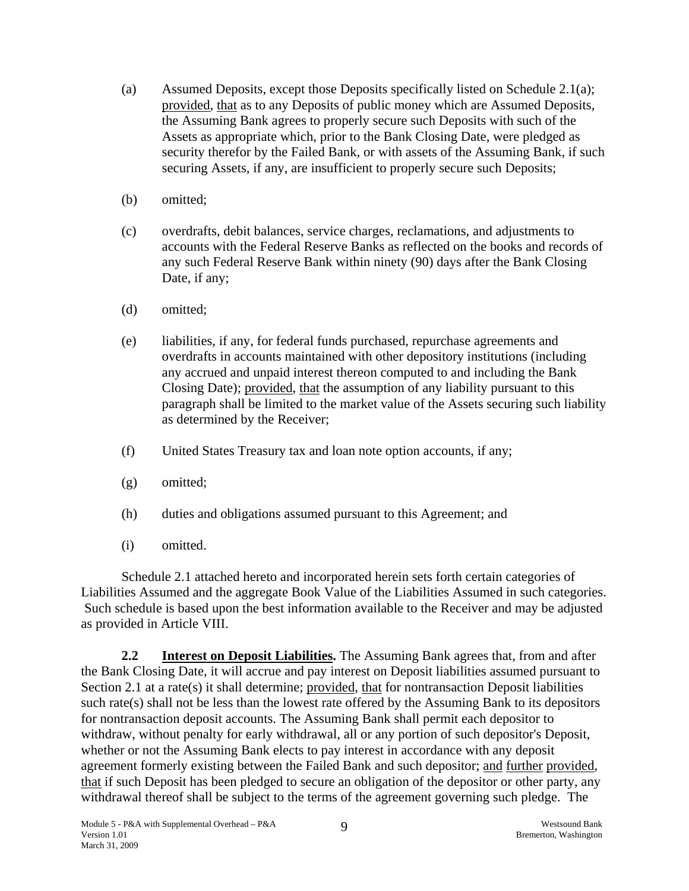- <span id="page-12-0"></span>(a) Assumed Deposits, except those Deposits specifically listed on Schedule 2.1(a); provided, that as to any Deposits of public money which are Assumed Deposits, the Assuming Bank agrees to properly secure such Deposits with such of the Assets as appropriate which, prior to the Bank Closing Date, were pledged as security therefor by the Failed Bank, or with assets of the Assuming Bank, if such securing Assets, if any, are insufficient to properly secure such Deposits;
- (b) omitted;
- (c) overdrafts, debit balances, service charges, reclamations, and adjustments to accounts with the Federal Reserve Banks as reflected on the books and records of any such Federal Reserve Bank within ninety (90) days after the Bank Closing Date, if any;
- (d) omitted;
- (e) liabilities, if any, for federal funds purchased, repurchase agreements and overdrafts in accounts maintained with other depository institutions (including any accrued and unpaid interest thereon computed to and including the Bank Closing Date); provided, that the assumption of any liability pursuant to this paragraph shall be limited to the market value of the Assets securing such liability as determined by the Receiver;
- (f) United States Treasury tax and loan note option accounts, if any;
- (g) omitted;
- (h) duties and obligations assumed pursuant to this Agreement; and
- (i) omitted.

Schedule 2.1 attached hereto and incorporated herein sets forth certain categories of Liabilities Assumed and the aggregate Book Value of the Liabilities Assumed in such categories. Such schedule is based upon the best information available to the Receiver and may be adjusted as provided in Article VIII.

**2.2 Interest on Deposit Liabilities.** The Assuming Bank agrees that, from and after the Bank Closing Date, it will accrue and pay interest on Deposit liabilities assumed pursuant to Section 2.1 at a rate(s) it shall determine; provided, that for nontransaction Deposit liabilities such rate(s) shall not be less than the lowest rate offered by the Assuming Bank to its depositors for nontransaction deposit accounts. The Assuming Bank shall permit each depositor to withdraw, without penalty for early withdrawal, all or any portion of such depositor's Deposit, whether or not the Assuming Bank elects to pay interest in accordance with any deposit agreement formerly existing between the Failed Bank and such depositor; and further provided, that if such Deposit has been pledged to secure an obligation of the depositor or other party, any withdrawal thereof shall be subject to the terms of the agreement governing such pledge. The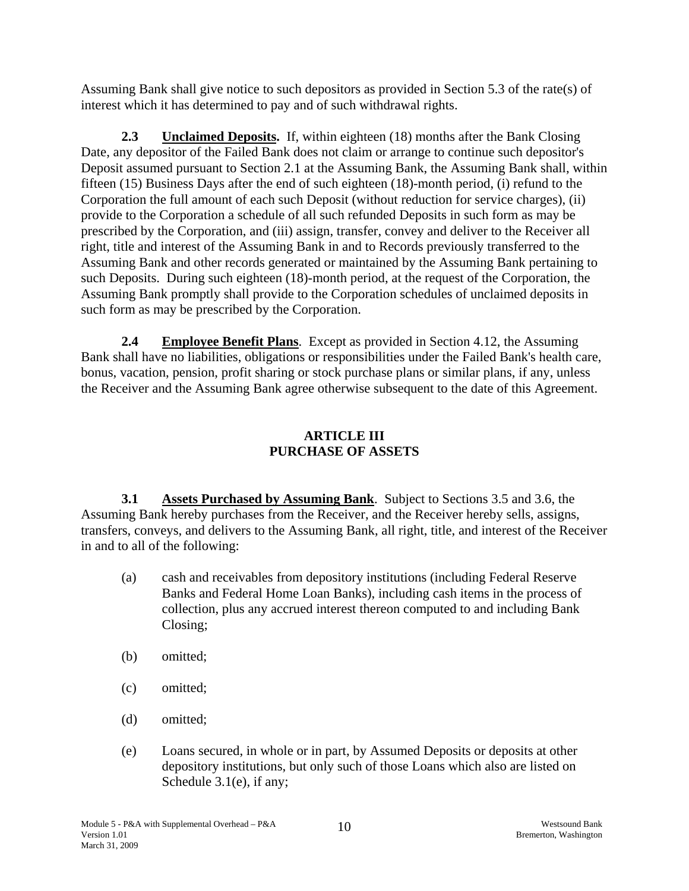<span id="page-13-0"></span>Assuming Bank shall give notice to such depositors as provided in Section 5.3 of the rate(s) of interest which it has determined to pay and of such withdrawal rights.

**2.3 Unclaimed Deposits.** If, within eighteen (18) months after the Bank Closing Date, any depositor of the Failed Bank does not claim or arrange to continue such depositor's Deposit assumed pursuant to Section 2.1 at the Assuming Bank, the Assuming Bank shall, within fifteen (15) Business Days after the end of such eighteen (18)-month period, (i) refund to the Corporation the full amount of each such Deposit (without reduction for service charges), (ii) provide to the Corporation a schedule of all such refunded Deposits in such form as may be prescribed by the Corporation, and (iii) assign, transfer, convey and deliver to the Receiver all right, title and interest of the Assuming Bank in and to Records previously transferred to the Assuming Bank and other records generated or maintained by the Assuming Bank pertaining to such Deposits. During such eighteen (18)-month period, at the request of the Corporation, the Assuming Bank promptly shall provide to the Corporation schedules of unclaimed deposits in such form as may be prescribed by the Corporation.

**2.4 Employee Benefit Plans**. Except as provided in Section 4.12, the Assuming Bank shall have no liabilities, obligations or responsibilities under the Failed Bank's health care, bonus, vacation, pension, profit sharing or stock purchase plans or similar plans, if any, unless the Receiver and the Assuming Bank agree otherwise subsequent to the date of this Agreement.

## **ARTICLE III PURCHASE OF ASSETS**

**3.1 Assets Purchased by Assuming Bank**. Subject to Sections 3.5 and 3.6, the Assuming Bank hereby purchases from the Receiver, and the Receiver hereby sells, assigns, transfers, conveys, and delivers to the Assuming Bank, all right, title, and interest of the Receiver in and to all of the following:

- (a) cash and receivables from depository institutions (including Federal Reserve Banks and Federal Home Loan Banks), including cash items in the process of collection, plus any accrued interest thereon computed to and including Bank Closing;
- (b) omitted;
- (c) omitted;
- (d) omitted;
- (e) Loans secured, in whole or in part, by Assumed Deposits or deposits at other depository institutions, but only such of those Loans which also are listed on Schedule 3.1(e), if any;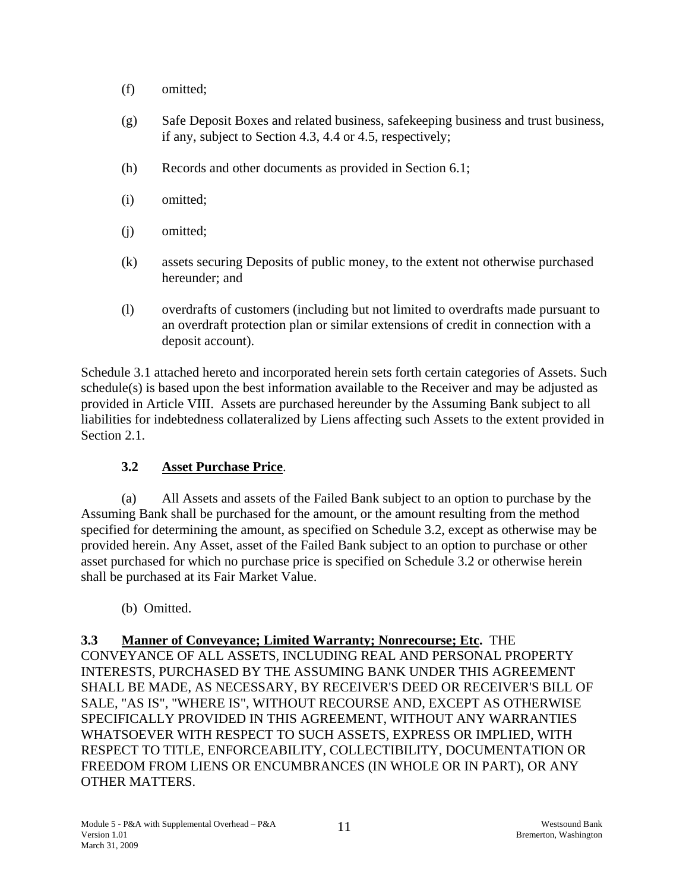- <span id="page-14-0"></span>(f) omitted;
- (g) Safe Deposit Boxes and related business, safekeeping business and trust business, if any, subject to Section 4.3, 4.4 or 4.5, respectively;
- (h) Records and other documents as provided in Section 6.1;
- (i) omitted;
- (j) omitted;
- (k) assets securing Deposits of public money, to the extent not otherwise purchased hereunder; and
- (l) overdrafts of customers (including but not limited to overdrafts made pursuant to an overdraft protection plan or similar extensions of credit in connection with a deposit account).

Schedule 3.1 attached hereto and incorporated herein sets forth certain categories of Assets. Such schedule(s) is based upon the best information available to the Receiver and may be adjusted as provided in Article VIII. Assets are purchased hereunder by the Assuming Bank subject to all liabilities for indebtedness collateralized by Liens affecting such Assets to the extent provided in Section 2.1.

### **3.2 Asset Purchase Price**.

(a) All Assets and assets of the Failed Bank subject to an option to purchase by the Assuming Bank shall be purchased for the amount, or the amount resulting from the method specified for determining the amount, as specified on Schedule 3.2, except as otherwise may be provided herein. Any Asset, asset of the Failed Bank subject to an option to purchase or other asset purchased for which no purchase price is specified on Schedule 3.2 or otherwise herein shall be purchased at its Fair Market Value.

### (b) Omitted.

**3.3 Manner of Conveyance; Limited Warranty; Nonrecourse; Etc.** THE CONVEYANCE OF ALL ASSETS, INCLUDING REAL AND PERSONAL PROPERTY INTERESTS, PURCHASED BY THE ASSUMING BANK UNDER THIS AGREEMENT SHALL BE MADE, AS NECESSARY, BY RECEIVER'S DEED OR RECEIVER'S BILL OF SALE, "AS IS", "WHERE IS", WITHOUT RECOURSE AND, EXCEPT AS OTHERWISE SPECIFICALLY PROVIDED IN THIS AGREEMENT, WITHOUT ANY WARRANTIES WHATSOEVER WITH RESPECT TO SUCH ASSETS, EXPRESS OR IMPLIED, WITH RESPECT TO TITLE, ENFORCEABILITY, COLLECTIBILITY, DOCUMENTATION OR FREEDOM FROM LIENS OR ENCUMBRANCES (IN WHOLE OR IN PART), OR ANY OTHER MATTERS.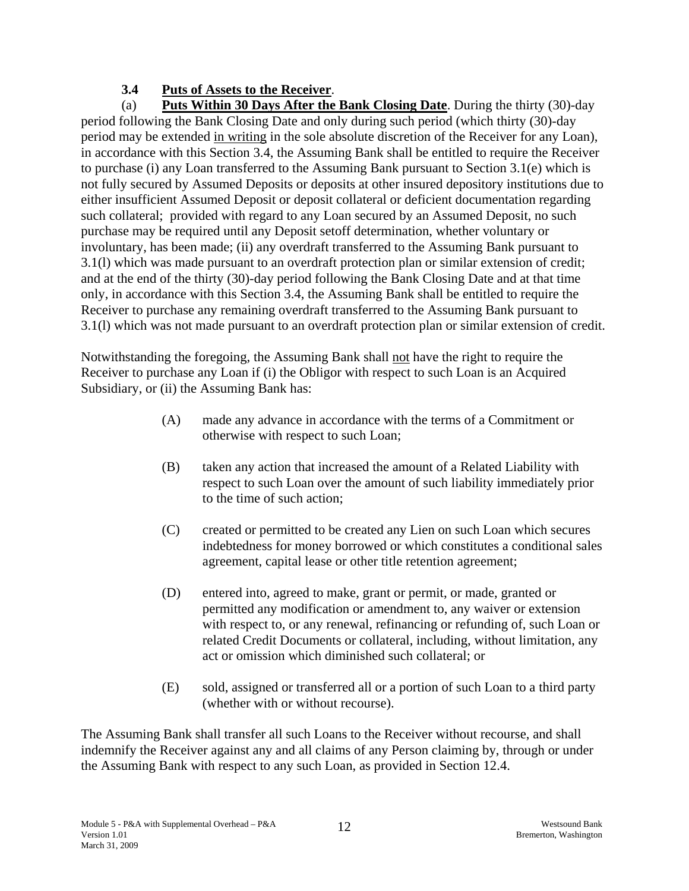## **3.4 Puts of Assets to the Receiver**.

<span id="page-15-0"></span>(a) **Puts Within 30 Days After the Bank Closing Date**. During the thirty (30)-day period following the Bank Closing Date and only during such period (which thirty (30)-day period may be extended in writing in the sole absolute discretion of the Receiver for any Loan), in accordance with this Section 3.4, the Assuming Bank shall be entitled to require the Receiver to purchase (i) any Loan transferred to the Assuming Bank pursuant to Section 3.1(e) which is not fully secured by Assumed Deposits or deposits at other insured depository institutions due to either insufficient Assumed Deposit or deposit collateral or deficient documentation regarding such collateral; provided with regard to any Loan secured by an Assumed Deposit, no such purchase may be required until any Deposit setoff determination, whether voluntary or involuntary, has been made; (ii) any overdraft transferred to the Assuming Bank pursuant to 3.1(l) which was made pursuant to an overdraft protection plan or similar extension of credit; and at the end of the thirty (30)-day period following the Bank Closing Date and at that time only, in accordance with this Section 3.4, the Assuming Bank shall be entitled to require the Receiver to purchase any remaining overdraft transferred to the Assuming Bank pursuant to 3.1(l) which was not made pursuant to an overdraft protection plan or similar extension of credit.

Notwithstanding the foregoing, the Assuming Bank shall not have the right to require the Receiver to purchase any Loan if (i) the Obligor with respect to such Loan is an Acquired Subsidiary, or (ii) the Assuming Bank has:

- (A) made any advance in accordance with the terms of a Commitment or otherwise with respect to such Loan;
- (B) taken any action that increased the amount of a Related Liability with respect to such Loan over the amount of such liability immediately prior to the time of such action;
- (C) created or permitted to be created any Lien on such Loan which secures indebtedness for money borrowed or which constitutes a conditional sales agreement, capital lease or other title retention agreement;
- (D) entered into, agreed to make, grant or permit, or made, granted or permitted any modification or amendment to, any waiver or extension with respect to, or any renewal, refinancing or refunding of, such Loan or related Credit Documents or collateral, including, without limitation, any act or omission which diminished such collateral; or
- (E) sold, assigned or transferred all or a portion of such Loan to a third party (whether with or without recourse).

The Assuming Bank shall transfer all such Loans to the Receiver without recourse, and shall indemnify the Receiver against any and all claims of any Person claiming by, through or under the Assuming Bank with respect to any such Loan, as provided in Section 12.4.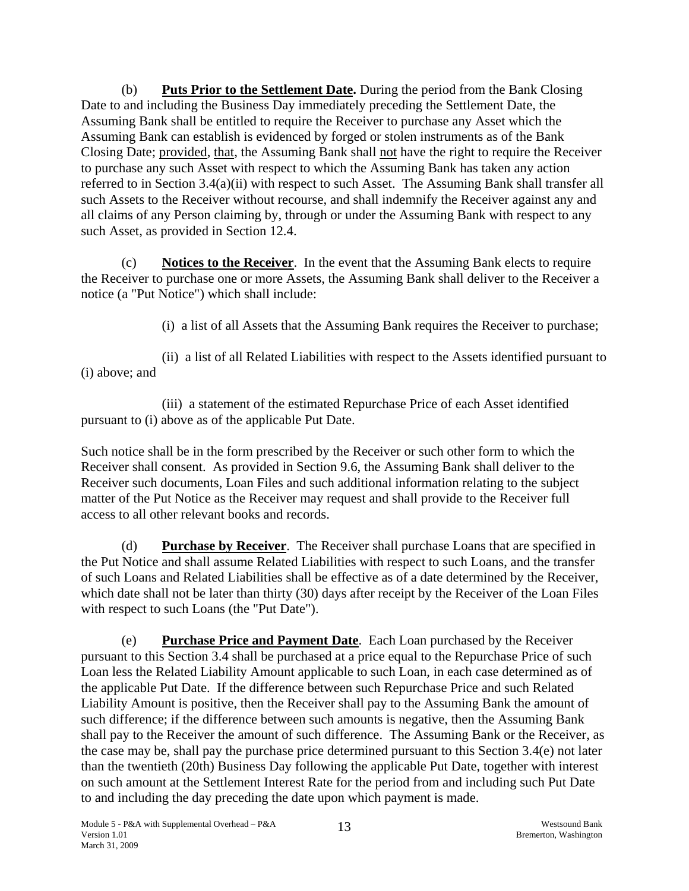(b) **Puts Prior to the Settlement Date.** During the period from the Bank Closing Date to and including the Business Day immediately preceding the Settlement Date, the Assuming Bank shall be entitled to require the Receiver to purchase any Asset which the Assuming Bank can establish is evidenced by forged or stolen instruments as of the Bank Closing Date; provided, that, the Assuming Bank shall not have the right to require the Receiver to purchase any such Asset with respect to which the Assuming Bank has taken any action referred to in Section 3.4(a)(ii) with respect to such Asset. The Assuming Bank shall transfer all such Assets to the Receiver without recourse, and shall indemnify the Receiver against any and all claims of any Person claiming by, through or under the Assuming Bank with respect to any such Asset, as provided in Section 12.4.

(c) **Notices to the Receiver**. In the event that the Assuming Bank elects to require the Receiver to purchase one or more Assets, the Assuming Bank shall deliver to the Receiver a notice (a "Put Notice") which shall include:

(i) a list of all Assets that the Assuming Bank requires the Receiver to purchase;

(ii) a list of all Related Liabilities with respect to the Assets identified pursuant to (i) above; and

(iii) a statement of the estimated Repurchase Price of each Asset identified pursuant to (i) above as of the applicable Put Date.

Such notice shall be in the form prescribed by the Receiver or such other form to which the Receiver shall consent. As provided in Section 9.6, the Assuming Bank shall deliver to the Receiver such documents, Loan Files and such additional information relating to the subject matter of the Put Notice as the Receiver may request and shall provide to the Receiver full access to all other relevant books and records.

(d) **Purchase by Receiver**. The Receiver shall purchase Loans that are specified in the Put Notice and shall assume Related Liabilities with respect to such Loans, and the transfer of such Loans and Related Liabilities shall be effective as of a date determined by the Receiver, which date shall not be later than thirty (30) days after receipt by the Receiver of the Loan Files with respect to such Loans (the "Put Date").

(e) **Purchase Price and Payment Date**. Each Loan purchased by the Receiver pursuant to this Section 3.4 shall be purchased at a price equal to the Repurchase Price of such Loan less the Related Liability Amount applicable to such Loan, in each case determined as of the applicable Put Date. If the difference between such Repurchase Price and such Related Liability Amount is positive, then the Receiver shall pay to the Assuming Bank the amount of such difference; if the difference between such amounts is negative, then the Assuming Bank shall pay to the Receiver the amount of such difference. The Assuming Bank or the Receiver, as the case may be, shall pay the purchase price determined pursuant to this Section 3.4(e) not later than the twentieth (20th) Business Day following the applicable Put Date, together with interest on such amount at the Settlement Interest Rate for the period from and including such Put Date to and including the day preceding the date upon which payment is made.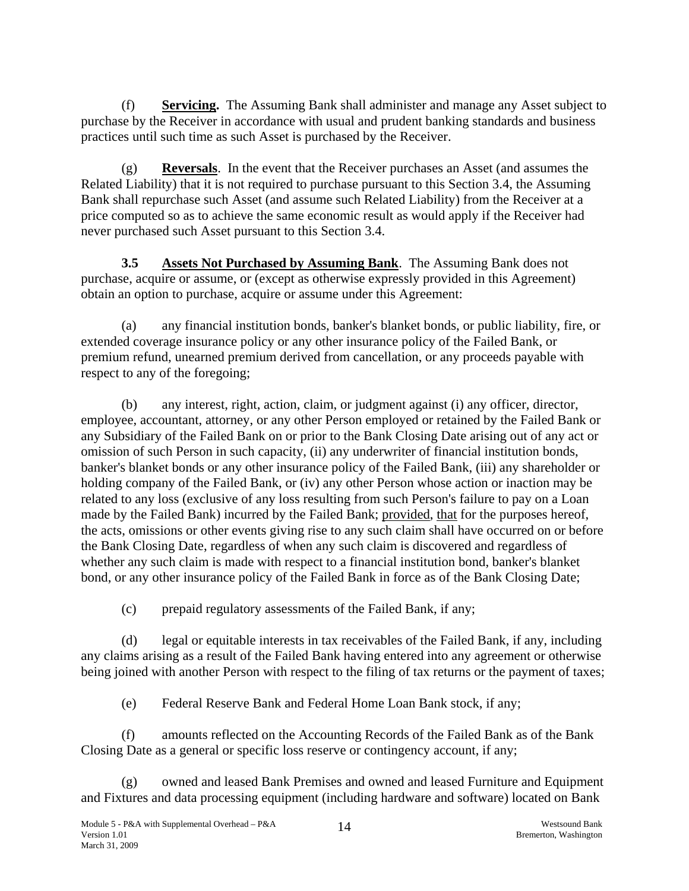<span id="page-17-0"></span> (f) **Servicing.** The Assuming Bank shall administer and manage any Asset subject to purchase by the Receiver in accordance with usual and prudent banking standards and business practices until such time as such Asset is purchased by the Receiver.

(g) **Reversals**. In the event that the Receiver purchases an Asset (and assumes the Related Liability) that it is not required to purchase pursuant to this Section 3.4, the Assuming Bank shall repurchase such Asset (and assume such Related Liability) from the Receiver at a price computed so as to achieve the same economic result as would apply if the Receiver had never purchased such Asset pursuant to this Section 3.4.

**3.5 Assets Not Purchased by Assuming Bank**. The Assuming Bank does not purchase, acquire or assume, or (except as otherwise expressly provided in this Agreement) obtain an option to purchase, acquire or assume under this Agreement:

(a) any financial institution bonds, banker's blanket bonds, or public liability, fire, or extended coverage insurance policy or any other insurance policy of the Failed Bank, or premium refund, unearned premium derived from cancellation, or any proceeds payable with respect to any of the foregoing;

(b) any interest, right, action, claim, or judgment against (i) any officer, director, employee, accountant, attorney, or any other Person employed or retained by the Failed Bank or any Subsidiary of the Failed Bank on or prior to the Bank Closing Date arising out of any act or omission of such Person in such capacity, (ii) any underwriter of financial institution bonds, banker's blanket bonds or any other insurance policy of the Failed Bank, (iii) any shareholder or holding company of the Failed Bank, or (iv) any other Person whose action or inaction may be related to any loss (exclusive of any loss resulting from such Person's failure to pay on a Loan made by the Failed Bank) incurred by the Failed Bank; provided, that for the purposes hereof, the acts, omissions or other events giving rise to any such claim shall have occurred on or before the Bank Closing Date, regardless of when any such claim is discovered and regardless of whether any such claim is made with respect to a financial institution bond, banker's blanket bond, or any other insurance policy of the Failed Bank in force as of the Bank Closing Date;

(c) prepaid regulatory assessments of the Failed Bank, if any;

(d) legal or equitable interests in tax receivables of the Failed Bank, if any, including any claims arising as a result of the Failed Bank having entered into any agreement or otherwise being joined with another Person with respect to the filing of tax returns or the payment of taxes;

(e) Federal Reserve Bank and Federal Home Loan Bank stock, if any;

(f) amounts reflected on the Accounting Records of the Failed Bank as of the Bank Closing Date as a general or specific loss reserve or contingency account, if any;

(g) owned and leased Bank Premises and owned and leased Furniture and Equipment and Fixtures and data processing equipment (including hardware and software) located on Bank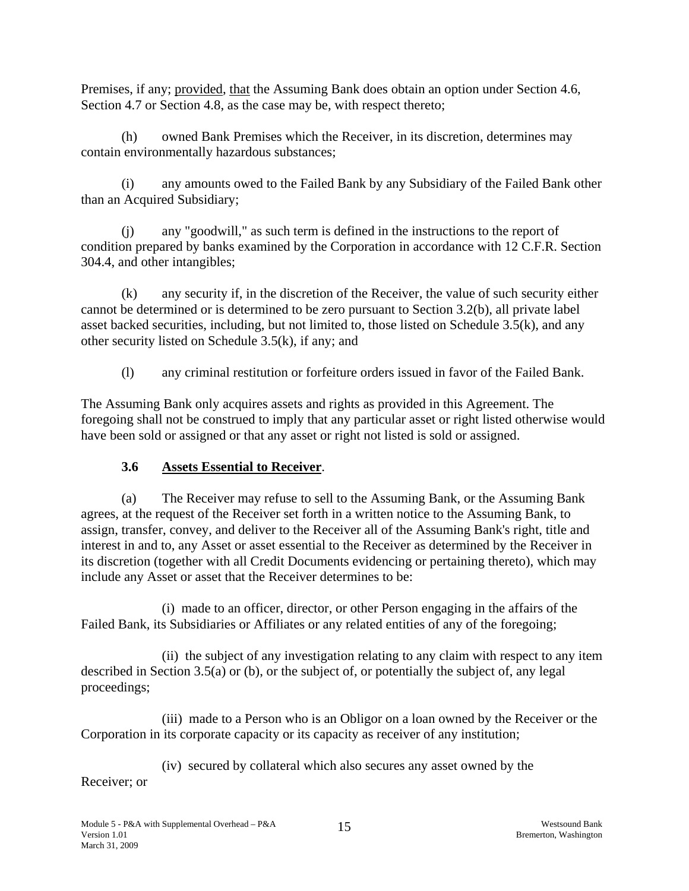<span id="page-18-0"></span>Premises, if any; provided, that the Assuming Bank does obtain an option under Section 4.6, Section 4.7 or Section 4.8, as the case may be, with respect thereto;

(h) owned Bank Premises which the Receiver, in its discretion, determines may contain environmentally hazardous substances;

(i) any amounts owed to the Failed Bank by any Subsidiary of the Failed Bank other than an Acquired Subsidiary;

(j) any "goodwill," as such term is defined in the instructions to the report of condition prepared by banks examined by the Corporation in accordance with 12 C.F.R. Section 304.4, and other intangibles;

(k) any security if, in the discretion of the Receiver, the value of such security either cannot be determined or is determined to be zero pursuant to Section 3.2(b), all private label asset backed securities, including, but not limited to, those listed on Schedule 3.5(k), and any other security listed on Schedule 3.5(k), if any; and

(l) any criminal restitution or forfeiture orders issued in favor of the Failed Bank.

The Assuming Bank only acquires assets and rights as provided in this Agreement. The foregoing shall not be construed to imply that any particular asset or right listed otherwise would have been sold or assigned or that any asset or right not listed is sold or assigned.

# **3.6 Assets Essential to Receiver**.

(a) The Receiver may refuse to sell to the Assuming Bank, or the Assuming Bank agrees, at the request of the Receiver set forth in a written notice to the Assuming Bank, to assign, transfer, convey, and deliver to the Receiver all of the Assuming Bank's right, title and interest in and to, any Asset or asset essential to the Receiver as determined by the Receiver in its discretion (together with all Credit Documents evidencing or pertaining thereto), which may include any Asset or asset that the Receiver determines to be:

(i) made to an officer, director, or other Person engaging in the affairs of the Failed Bank, its Subsidiaries or Affiliates or any related entities of any of the foregoing;

(ii) the subject of any investigation relating to any claim with respect to any item described in Section 3.5(a) or (b), or the subject of, or potentially the subject of, any legal proceedings;

(iii) made to a Person who is an Obligor on a loan owned by the Receiver or the Corporation in its corporate capacity or its capacity as receiver of any institution;

(iv) secured by collateral which also secures any asset owned by the Receiver; or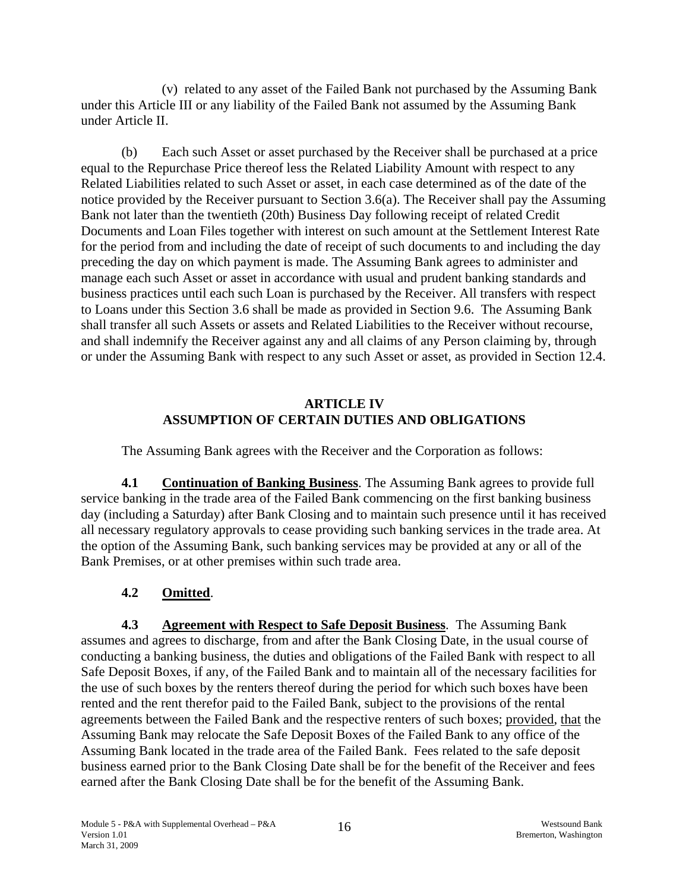<span id="page-19-0"></span>(v) related to any asset of the Failed Bank not purchased by the Assuming Bank under this Article III or any liability of the Failed Bank not assumed by the Assuming Bank under Article II.

(b) Each such Asset or asset purchased by the Receiver shall be purchased at a price equal to the Repurchase Price thereof less the Related Liability Amount with respect to any Related Liabilities related to such Asset or asset, in each case determined as of the date of the notice provided by the Receiver pursuant to Section 3.6(a). The Receiver shall pay the Assuming Bank not later than the twentieth (20th) Business Day following receipt of related Credit Documents and Loan Files together with interest on such amount at the Settlement Interest Rate for the period from and including the date of receipt of such documents to and including the day preceding the day on which payment is made. The Assuming Bank agrees to administer and manage each such Asset or asset in accordance with usual and prudent banking standards and business practices until each such Loan is purchased by the Receiver. All transfers with respect to Loans under this Section 3.6 shall be made as provided in Section 9.6. The Assuming Bank shall transfer all such Assets or assets and Related Liabilities to the Receiver without recourse, and shall indemnify the Receiver against any and all claims of any Person claiming by, through or under the Assuming Bank with respect to any such Asset or asset, as provided in Section 12.4.

### **ARTICLE IV ASSUMPTION OF CERTAIN DUTIES AND OBLIGATIONS**

The Assuming Bank agrees with the Receiver and the Corporation as follows:

**4.1 Continuation of Banking Business**. The Assuming Bank agrees to provide full service banking in the trade area of the Failed Bank commencing on the first banking business day (including a Saturday) after Bank Closing and to maintain such presence until it has received all necessary regulatory approvals to cease providing such banking services in the trade area. At the option of the Assuming Bank, such banking services may be provided at any or all of the Bank Premises, or at other premises within such trade area.

# **4.2 Omitted**.

**4.3 Agreement with Respect to Safe Deposit Business**. The Assuming Bank assumes and agrees to discharge, from and after the Bank Closing Date, in the usual course of conducting a banking business, the duties and obligations of the Failed Bank with respect to all Safe Deposit Boxes, if any, of the Failed Bank and to maintain all of the necessary facilities for the use of such boxes by the renters thereof during the period for which such boxes have been rented and the rent therefor paid to the Failed Bank, subject to the provisions of the rental agreements between the Failed Bank and the respective renters of such boxes; provided, that the Assuming Bank may relocate the Safe Deposit Boxes of the Failed Bank to any office of the Assuming Bank located in the trade area of the Failed Bank. Fees related to the safe deposit business earned prior to the Bank Closing Date shall be for the benefit of the Receiver and fees earned after the Bank Closing Date shall be for the benefit of the Assuming Bank.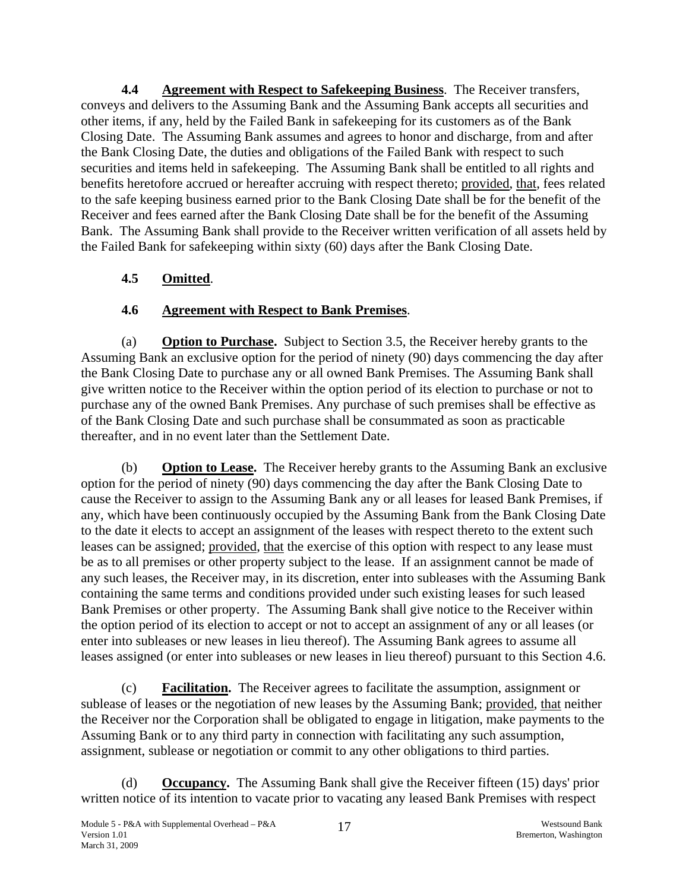<span id="page-20-0"></span>**4.4 Agreement with Respect to Safekeeping Business**. The Receiver transfers, conveys and delivers to the Assuming Bank and the Assuming Bank accepts all securities and other items, if any, held by the Failed Bank in safekeeping for its customers as of the Bank Closing Date. The Assuming Bank assumes and agrees to honor and discharge, from and after the Bank Closing Date, the duties and obligations of the Failed Bank with respect to such securities and items held in safekeeping. The Assuming Bank shall be entitled to all rights and benefits heretofore accrued or hereafter accruing with respect thereto; provided, that, fees related to the safe keeping business earned prior to the Bank Closing Date shall be for the benefit of the Receiver and fees earned after the Bank Closing Date shall be for the benefit of the Assuming Bank. The Assuming Bank shall provide to the Receiver written verification of all assets held by the Failed Bank for safekeeping within sixty (60) days after the Bank Closing Date.

# **4.5 Omitted**.

# **4.6 Agreement with Respect to Bank Premises**.

(a) **Option to Purchase.** Subject to Section 3.5, the Receiver hereby grants to the Assuming Bank an exclusive option for the period of ninety (90) days commencing the day after the Bank Closing Date to purchase any or all owned Bank Premises. The Assuming Bank shall give written notice to the Receiver within the option period of its election to purchase or not to purchase any of the owned Bank Premises. Any purchase of such premises shall be effective as of the Bank Closing Date and such purchase shall be consummated as soon as practicable thereafter, and in no event later than the Settlement Date.

(b) **Option to Lease.** The Receiver hereby grants to the Assuming Bank an exclusive option for the period of ninety (90) days commencing the day after the Bank Closing Date to cause the Receiver to assign to the Assuming Bank any or all leases for leased Bank Premises, if any, which have been continuously occupied by the Assuming Bank from the Bank Closing Date to the date it elects to accept an assignment of the leases with respect thereto to the extent such leases can be assigned; provided, that the exercise of this option with respect to any lease must be as to all premises or other property subject to the lease. If an assignment cannot be made of any such leases, the Receiver may, in its discretion, enter into subleases with the Assuming Bank containing the same terms and conditions provided under such existing leases for such leased Bank Premises or other property. The Assuming Bank shall give notice to the Receiver within the option period of its election to accept or not to accept an assignment of any or all leases (or enter into subleases or new leases in lieu thereof). The Assuming Bank agrees to assume all leases assigned (or enter into subleases or new leases in lieu thereof) pursuant to this Section 4.6.

(c) **Facilitation.** The Receiver agrees to facilitate the assumption, assignment or sublease of leases or the negotiation of new leases by the Assuming Bank; provided, that neither the Receiver nor the Corporation shall be obligated to engage in litigation, make payments to the Assuming Bank or to any third party in connection with facilitating any such assumption, assignment, sublease or negotiation or commit to any other obligations to third parties.

(d) **Occupancy.** The Assuming Bank shall give the Receiver fifteen (15) days' prior written notice of its intention to vacate prior to vacating any leased Bank Premises with respect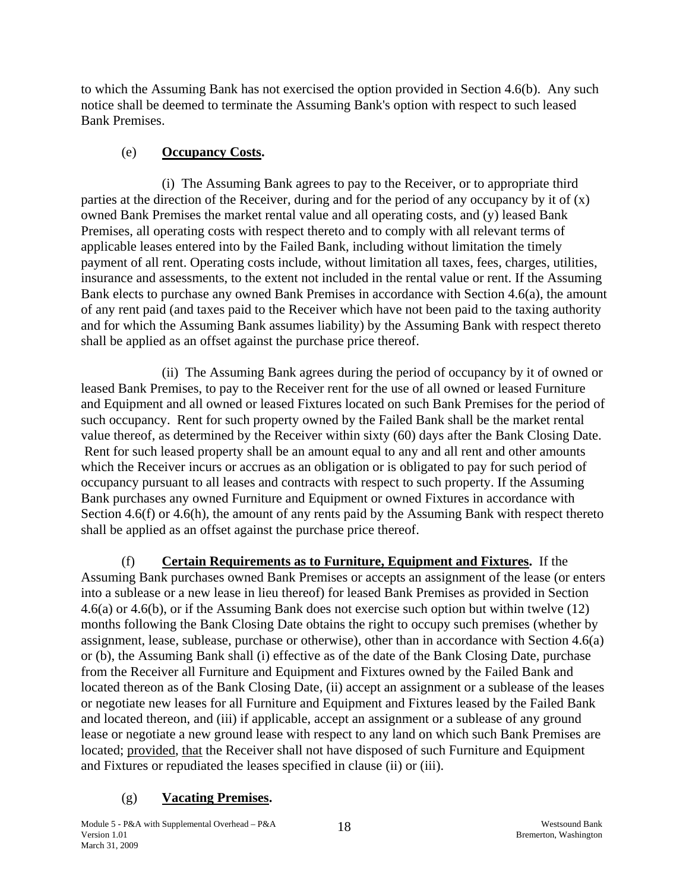to which the Assuming Bank has not exercised the option provided in Section 4.6(b). Any such notice shall be deemed to terminate the Assuming Bank's option with respect to such leased Bank Premises.

## (e) **Occupancy Costs.**

(i) The Assuming Bank agrees to pay to the Receiver, or to appropriate third parties at the direction of the Receiver, during and for the period of any occupancy by it of (x) owned Bank Premises the market rental value and all operating costs, and (y) leased Bank Premises, all operating costs with respect thereto and to comply with all relevant terms of applicable leases entered into by the Failed Bank, including without limitation the timely payment of all rent. Operating costs include, without limitation all taxes, fees, charges, utilities, insurance and assessments, to the extent not included in the rental value or rent. If the Assuming Bank elects to purchase any owned Bank Premises in accordance with Section 4.6(a), the amount of any rent paid (and taxes paid to the Receiver which have not been paid to the taxing authority and for which the Assuming Bank assumes liability) by the Assuming Bank with respect thereto shall be applied as an offset against the purchase price thereof.

(ii) The Assuming Bank agrees during the period of occupancy by it of owned or leased Bank Premises, to pay to the Receiver rent for the use of all owned or leased Furniture and Equipment and all owned or leased Fixtures located on such Bank Premises for the period of such occupancy. Rent for such property owned by the Failed Bank shall be the market rental value thereof, as determined by the Receiver within sixty (60) days after the Bank Closing Date. Rent for such leased property shall be an amount equal to any and all rent and other amounts which the Receiver incurs or accrues as an obligation or is obligated to pay for such period of occupancy pursuant to all leases and contracts with respect to such property. If the Assuming Bank purchases any owned Furniture and Equipment or owned Fixtures in accordance with Section 4.6(f) or 4.6(h), the amount of any rents paid by the Assuming Bank with respect thereto shall be applied as an offset against the purchase price thereof.

(f) **Certain Requirements as to Furniture, Equipment and Fixtures.** If the Assuming Bank purchases owned Bank Premises or accepts an assignment of the lease (or enters into a sublease or a new lease in lieu thereof) for leased Bank Premises as provided in Section 4.6(a) or 4.6(b), or if the Assuming Bank does not exercise such option but within twelve (12) months following the Bank Closing Date obtains the right to occupy such premises (whether by assignment, lease, sublease, purchase or otherwise), other than in accordance with Section 4.6(a) or (b), the Assuming Bank shall (i) effective as of the date of the Bank Closing Date, purchase from the Receiver all Furniture and Equipment and Fixtures owned by the Failed Bank and located thereon as of the Bank Closing Date, (ii) accept an assignment or a sublease of the leases or negotiate new leases for all Furniture and Equipment and Fixtures leased by the Failed Bank and located thereon, and (iii) if applicable, accept an assignment or a sublease of any ground lease or negotiate a new ground lease with respect to any land on which such Bank Premises are located; provided, that the Receiver shall not have disposed of such Furniture and Equipment and Fixtures or repudiated the leases specified in clause (ii) or (iii).

# (g) **Vacating Premises.**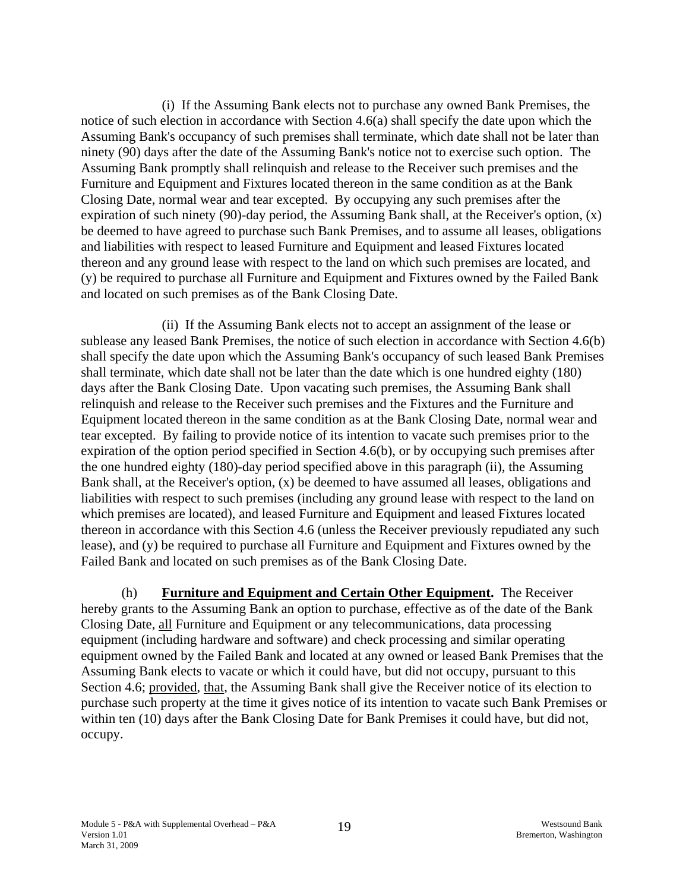(i) If the Assuming Bank elects not to purchase any owned Bank Premises, the notice of such election in accordance with Section 4.6(a) shall specify the date upon which the Assuming Bank's occupancy of such premises shall terminate, which date shall not be later than ninety (90) days after the date of the Assuming Bank's notice not to exercise such option. The Assuming Bank promptly shall relinquish and release to the Receiver such premises and the Furniture and Equipment and Fixtures located thereon in the same condition as at the Bank Closing Date, normal wear and tear excepted. By occupying any such premises after the expiration of such ninety (90)-day period, the Assuming Bank shall, at the Receiver's option, (x) be deemed to have agreed to purchase such Bank Premises, and to assume all leases, obligations and liabilities with respect to leased Furniture and Equipment and leased Fixtures located thereon and any ground lease with respect to the land on which such premises are located, and (y) be required to purchase all Furniture and Equipment and Fixtures owned by the Failed Bank and located on such premises as of the Bank Closing Date.

(ii) If the Assuming Bank elects not to accept an assignment of the lease or sublease any leased Bank Premises, the notice of such election in accordance with Section 4.6(b) shall specify the date upon which the Assuming Bank's occupancy of such leased Bank Premises shall terminate, which date shall not be later than the date which is one hundred eighty (180) days after the Bank Closing Date. Upon vacating such premises, the Assuming Bank shall relinquish and release to the Receiver such premises and the Fixtures and the Furniture and Equipment located thereon in the same condition as at the Bank Closing Date, normal wear and tear excepted. By failing to provide notice of its intention to vacate such premises prior to the expiration of the option period specified in Section 4.6(b), or by occupying such premises after the one hundred eighty (180)-day period specified above in this paragraph (ii), the Assuming Bank shall, at the Receiver's option, (x) be deemed to have assumed all leases, obligations and liabilities with respect to such premises (including any ground lease with respect to the land on which premises are located), and leased Furniture and Equipment and leased Fixtures located thereon in accordance with this Section 4.6 (unless the Receiver previously repudiated any such lease), and (y) be required to purchase all Furniture and Equipment and Fixtures owned by the Failed Bank and located on such premises as of the Bank Closing Date.

(h) **Furniture and Equipment and Certain Other Equipment.** The Receiver hereby grants to the Assuming Bank an option to purchase, effective as of the date of the Bank Closing Date, all Furniture and Equipment or any telecommunications, data processing equipment (including hardware and software) and check processing and similar operating equipment owned by the Failed Bank and located at any owned or leased Bank Premises that the Assuming Bank elects to vacate or which it could have, but did not occupy, pursuant to this Section 4.6; provided, that, the Assuming Bank shall give the Receiver notice of its election to purchase such property at the time it gives notice of its intention to vacate such Bank Premises or within ten (10) days after the Bank Closing Date for Bank Premises it could have, but did not, occupy.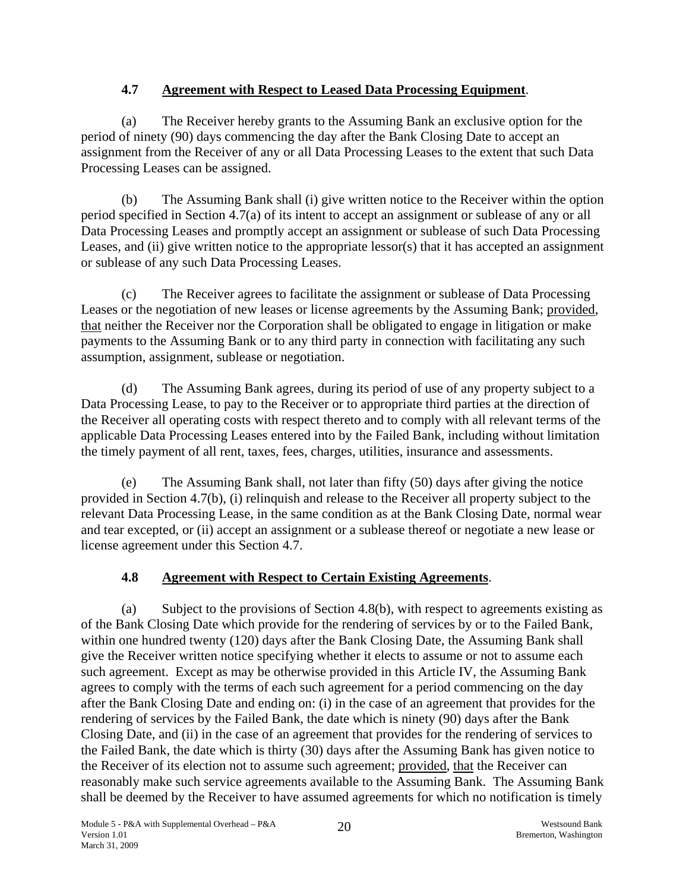# **4.7 Agreement with Respect to Leased Data Processing Equipment**.

<span id="page-23-0"></span>(a) The Receiver hereby grants to the Assuming Bank an exclusive option for the period of ninety (90) days commencing the day after the Bank Closing Date to accept an assignment from the Receiver of any or all Data Processing Leases to the extent that such Data Processing Leases can be assigned.

(b) The Assuming Bank shall (i) give written notice to the Receiver within the option period specified in Section 4.7(a) of its intent to accept an assignment or sublease of any or all Data Processing Leases and promptly accept an assignment or sublease of such Data Processing Leases, and (ii) give written notice to the appropriate lessor(s) that it has accepted an assignment or sublease of any such Data Processing Leases.

(c) The Receiver agrees to facilitate the assignment or sublease of Data Processing Leases or the negotiation of new leases or license agreements by the Assuming Bank; provided, that neither the Receiver nor the Corporation shall be obligated to engage in litigation or make payments to the Assuming Bank or to any third party in connection with facilitating any such assumption, assignment, sublease or negotiation.

(d) The Assuming Bank agrees, during its period of use of any property subject to a Data Processing Lease, to pay to the Receiver or to appropriate third parties at the direction of the Receiver all operating costs with respect thereto and to comply with all relevant terms of the applicable Data Processing Leases entered into by the Failed Bank, including without limitation the timely payment of all rent, taxes, fees, charges, utilities, insurance and assessments.

(e) The Assuming Bank shall, not later than fifty (50) days after giving the notice provided in Section 4.7(b), (i) relinquish and release to the Receiver all property subject to the relevant Data Processing Lease, in the same condition as at the Bank Closing Date, normal wear and tear excepted, or (ii) accept an assignment or a sublease thereof or negotiate a new lease or license agreement under this Section 4.7.

# **4.8 Agreement with Respect to Certain Existing Agreements**.

(a) Subject to the provisions of Section 4.8(b), with respect to agreements existing as of the Bank Closing Date which provide for the rendering of services by or to the Failed Bank, within one hundred twenty (120) days after the Bank Closing Date, the Assuming Bank shall give the Receiver written notice specifying whether it elects to assume or not to assume each such agreement. Except as may be otherwise provided in this Article IV, the Assuming Bank agrees to comply with the terms of each such agreement for a period commencing on the day after the Bank Closing Date and ending on: (i) in the case of an agreement that provides for the rendering of services by the Failed Bank, the date which is ninety (90) days after the Bank Closing Date, and (ii) in the case of an agreement that provides for the rendering of services to the Failed Bank, the date which is thirty (30) days after the Assuming Bank has given notice to the Receiver of its election not to assume such agreement; provided, that the Receiver can reasonably make such service agreements available to the Assuming Bank. The Assuming Bank shall be deemed by the Receiver to have assumed agreements for which no notification is timely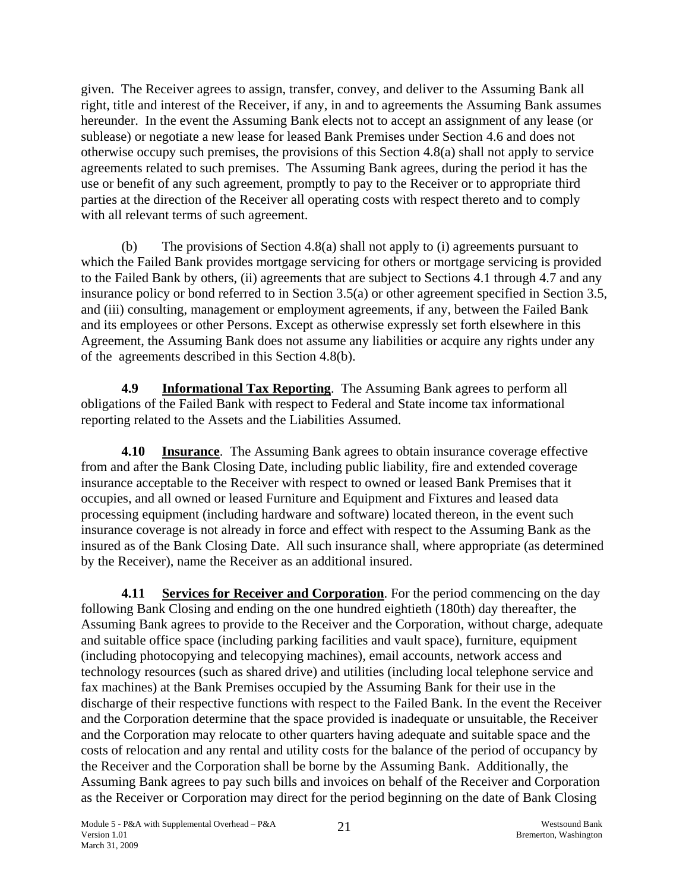<span id="page-24-0"></span>given. The Receiver agrees to assign, transfer, convey, and deliver to the Assuming Bank all right, title and interest of the Receiver, if any, in and to agreements the Assuming Bank assumes hereunder. In the event the Assuming Bank elects not to accept an assignment of any lease (or sublease) or negotiate a new lease for leased Bank Premises under Section 4.6 and does not otherwise occupy such premises, the provisions of this Section 4.8(a) shall not apply to service agreements related to such premises. The Assuming Bank agrees, during the period it has the use or benefit of any such agreement, promptly to pay to the Receiver or to appropriate third parties at the direction of the Receiver all operating costs with respect thereto and to comply with all relevant terms of such agreement.

(b) The provisions of Section 4.8(a) shall not apply to (i) agreements pursuant to which the Failed Bank provides mortgage servicing for others or mortgage servicing is provided to the Failed Bank by others, (ii) agreements that are subject to Sections 4.1 through 4.7 and any insurance policy or bond referred to in Section 3.5(a) or other agreement specified in Section 3.5, and (iii) consulting, management or employment agreements, if any, between the Failed Bank and its employees or other Persons. Except as otherwise expressly set forth elsewhere in this Agreement, the Assuming Bank does not assume any liabilities or acquire any rights under any of the agreements described in this Section 4.8(b).

**4.9 Informational Tax Reporting**. The Assuming Bank agrees to perform all obligations of the Failed Bank with respect to Federal and State income tax informational reporting related to the Assets and the Liabilities Assumed.

**4.10 Insurance**. The Assuming Bank agrees to obtain insurance coverage effective from and after the Bank Closing Date, including public liability, fire and extended coverage insurance acceptable to the Receiver with respect to owned or leased Bank Premises that it occupies, and all owned or leased Furniture and Equipment and Fixtures and leased data processing equipment (including hardware and software) located thereon, in the event such insurance coverage is not already in force and effect with respect to the Assuming Bank as the insured as of the Bank Closing Date. All such insurance shall, where appropriate (as determined by the Receiver), name the Receiver as an additional insured.

**4.11 Services for Receiver and Corporation**. For the period commencing on the day following Bank Closing and ending on the one hundred eightieth (180th) day thereafter, the Assuming Bank agrees to provide to the Receiver and the Corporation, without charge, adequate and suitable office space (including parking facilities and vault space), furniture, equipment (including photocopying and telecopying machines), email accounts, network access and technology resources (such as shared drive) and utilities (including local telephone service and fax machines) at the Bank Premises occupied by the Assuming Bank for their use in the discharge of their respective functions with respect to the Failed Bank. In the event the Receiver and the Corporation determine that the space provided is inadequate or unsuitable, the Receiver and the Corporation may relocate to other quarters having adequate and suitable space and the costs of relocation and any rental and utility costs for the balance of the period of occupancy by the Receiver and the Corporation shall be borne by the Assuming Bank. Additionally, the Assuming Bank agrees to pay such bills and invoices on behalf of the Receiver and Corporation as the Receiver or Corporation may direct for the period beginning on the date of Bank Closing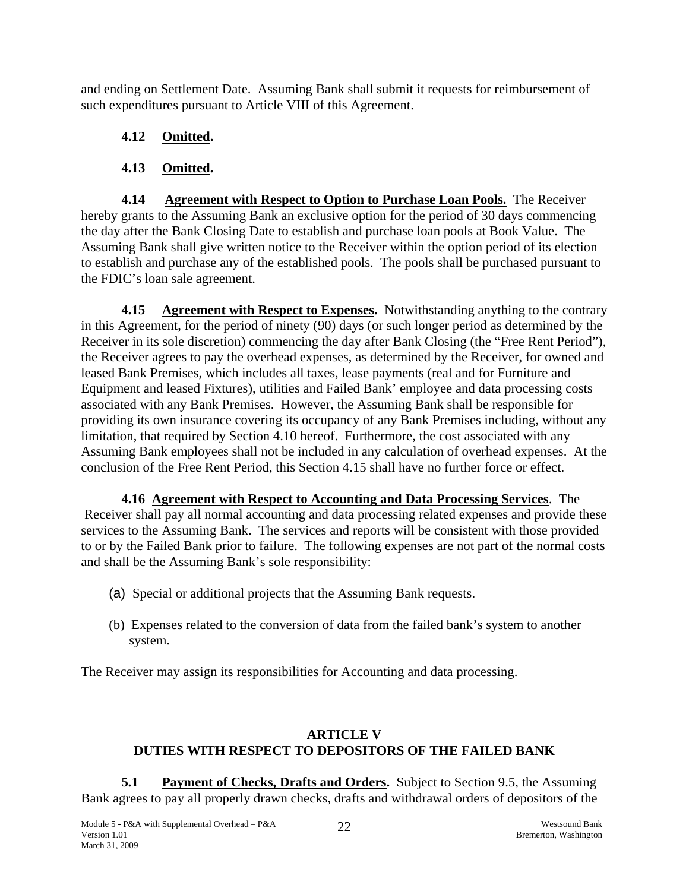<span id="page-25-0"></span>and ending on Settlement Date. Assuming Bank shall submit it requests for reimbursement of such expenditures pursuant to Article VIII of this Agreement.

# **4.12 Omitted.**

# 4.13 Omitted.

 **Agreement with Respect to Option to Purchase Loan Pools.** The Receiver hereby grants to the Assuming Bank an exclusive option for the period of 30 days commencing the day after the Bank Closing Date to establish and purchase loan pools at Book Value. The Assuming Bank shall give written notice to the Receiver within the option period of its election to establish and purchase any of the established pools. The pools shall be purchased pursuant to the FDIC's loan sale agreement.

**4.15 Agreement with Respect to Expenses.** Notwithstanding anything to the contrary in this Agreement, for the period of ninety (90) days (or such longer period as determined by the Receiver in its sole discretion) commencing the day after Bank Closing (the "Free Rent Period"), the Receiver agrees to pay the overhead expenses, as determined by the Receiver, for owned and leased Bank Premises, which includes all taxes, lease payments (real and for Furniture and Equipment and leased Fixtures), utilities and Failed Bank' employee and data processing costs associated with any Bank Premises. However, the Assuming Bank shall be responsible for providing its own insurance covering its occupancy of any Bank Premises including, without any limitation, that required by Section 4.10 hereof. Furthermore, the cost associated with any Assuming Bank employees shall not be included in any calculation of overhead expenses. At the conclusion of the Free Rent Period, this Section 4.15 shall have no further force or effect.

**4.16 Agreement with Respect to Accounting and Data Processing Services**. The Receiver shall pay all normal accounting and data processing related expenses and provide these services to the Assuming Bank. The services and reports will be consistent with those provided to or by the Failed Bank prior to failure. The following expenses are not part of the normal costs and shall be the Assuming Bank's sole responsibility:

- (a) Special or additional projects that the Assuming Bank requests.
- (b) Expenses related to the conversion of data from the failed bank's system to another system.

The Receiver may assign its responsibilities for Accounting and data processing.

### **ARTICLE V DUTIES WITH RESPECT TO DEPOSITORS OF THE FAILED BANK**

**5.1 Payment of Checks, Drafts and Orders.** Subject to Section 9.5, the Assuming Bank agrees to pay all properly drawn checks, drafts and withdrawal orders of depositors of the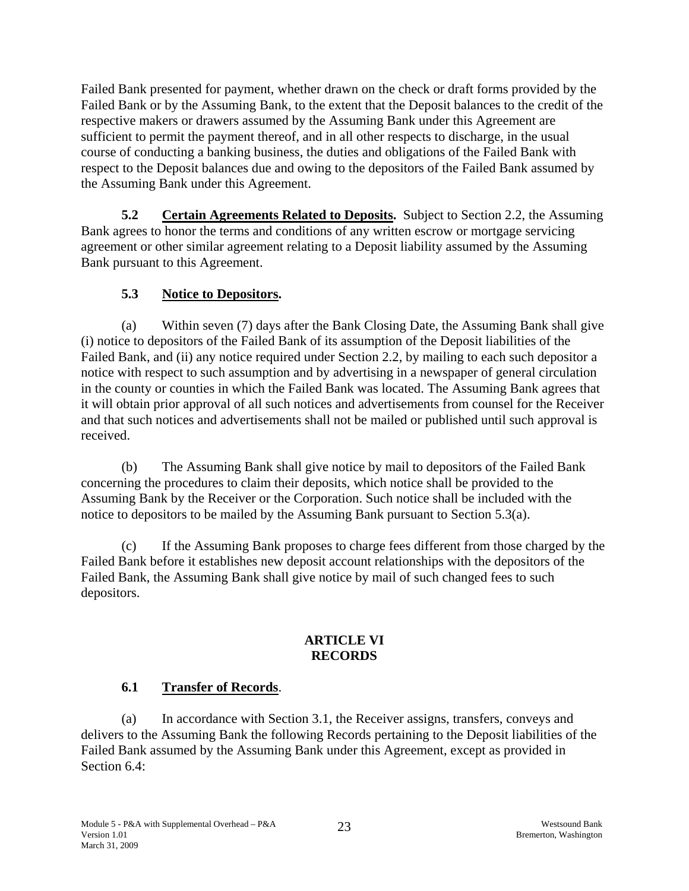<span id="page-26-0"></span>Failed Bank presented for payment, whether drawn on the check or draft forms provided by the Failed Bank or by the Assuming Bank, to the extent that the Deposit balances to the credit of the respective makers or drawers assumed by the Assuming Bank under this Agreement are sufficient to permit the payment thereof, and in all other respects to discharge, in the usual course of conducting a banking business, the duties and obligations of the Failed Bank with respect to the Deposit balances due and owing to the depositors of the Failed Bank assumed by the Assuming Bank under this Agreement.

**5.2 Certain Agreements Related to Deposits.** Subject to Section 2.2, the Assuming Bank agrees to honor the terms and conditions of any written escrow or mortgage servicing agreement or other similar agreement relating to a Deposit liability assumed by the Assuming Bank pursuant to this Agreement.

## **5.3 Notice to Depositors.**

(a) Within seven (7) days after the Bank Closing Date, the Assuming Bank shall give (i) notice to depositors of the Failed Bank of its assumption of the Deposit liabilities of the Failed Bank, and (ii) any notice required under Section 2.2, by mailing to each such depositor a notice with respect to such assumption and by advertising in a newspaper of general circulation in the county or counties in which the Failed Bank was located. The Assuming Bank agrees that it will obtain prior approval of all such notices and advertisements from counsel for the Receiver and that such notices and advertisements shall not be mailed or published until such approval is received.

(b) The Assuming Bank shall give notice by mail to depositors of the Failed Bank concerning the procedures to claim their deposits, which notice shall be provided to the Assuming Bank by the Receiver or the Corporation. Such notice shall be included with the notice to depositors to be mailed by the Assuming Bank pursuant to Section 5.3(a).

(c) If the Assuming Bank proposes to charge fees different from those charged by the Failed Bank before it establishes new deposit account relationships with the depositors of the Failed Bank, the Assuming Bank shall give notice by mail of such changed fees to such depositors.

#### **ARTICLE VI RECORDS**

### **6.1 Transfer of Records**.

(a) In accordance with Section 3.1, the Receiver assigns, transfers, conveys and delivers to the Assuming Bank the following Records pertaining to the Deposit liabilities of the Failed Bank assumed by the Assuming Bank under this Agreement, except as provided in Section 6.4: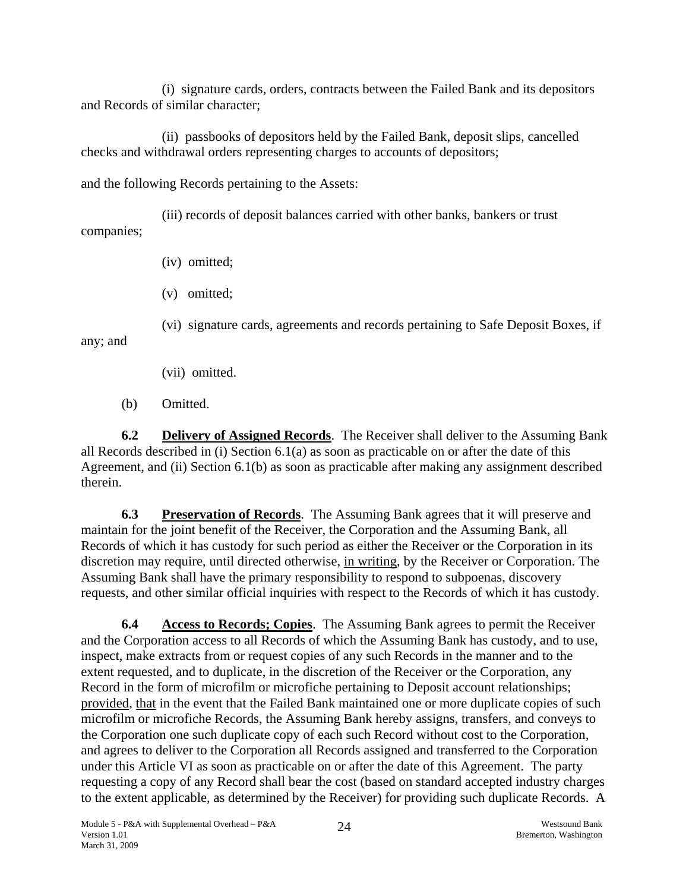<span id="page-27-0"></span>(i) signature cards, orders, contracts between the Failed Bank and its depositors and Records of similar character;

(ii) passbooks of depositors held by the Failed Bank, deposit slips, cancelled checks and withdrawal orders representing charges to accounts of depositors;

and the following Records pertaining to the Assets:

(iii) records of deposit balances carried with other banks, bankers or trust companies;

(iv) omitted;

(v) omitted;

(vi) signature cards, agreements and records pertaining to Safe Deposit Boxes, if

any; and

- (vii) omitted.
- (b) Omitted.

**6.2 Delivery of Assigned Records**. The Receiver shall deliver to the Assuming Bank all Records described in (i) Section 6.1(a) as soon as practicable on or after the date of this Agreement, and (ii) Section 6.1(b) as soon as practicable after making any assignment described therein.

**6.3 Preservation of Records**. The Assuming Bank agrees that it will preserve and maintain for the joint benefit of the Receiver, the Corporation and the Assuming Bank, all Records of which it has custody for such period as either the Receiver or the Corporation in its discretion may require, until directed otherwise, in writing, by the Receiver or Corporation. The Assuming Bank shall have the primary responsibility to respond to subpoenas, discovery requests, and other similar official inquiries with respect to the Records of which it has custody.

**6.4** Access to Records; Copies. The Assuming Bank agrees to permit the Receiver and the Corporation access to all Records of which the Assuming Bank has custody, and to use, inspect, make extracts from or request copies of any such Records in the manner and to the extent requested, and to duplicate, in the discretion of the Receiver or the Corporation, any Record in the form of microfilm or microfiche pertaining to Deposit account relationships; provided, that in the event that the Failed Bank maintained one or more duplicate copies of such microfilm or microfiche Records, the Assuming Bank hereby assigns, transfers, and conveys to the Corporation one such duplicate copy of each such Record without cost to the Corporation, and agrees to deliver to the Corporation all Records assigned and transferred to the Corporation under this Article VI as soon as practicable on or after the date of this Agreement. The party requesting a copy of any Record shall bear the cost (based on standard accepted industry charges to the extent applicable, as determined by the Receiver) for providing such duplicate Records. A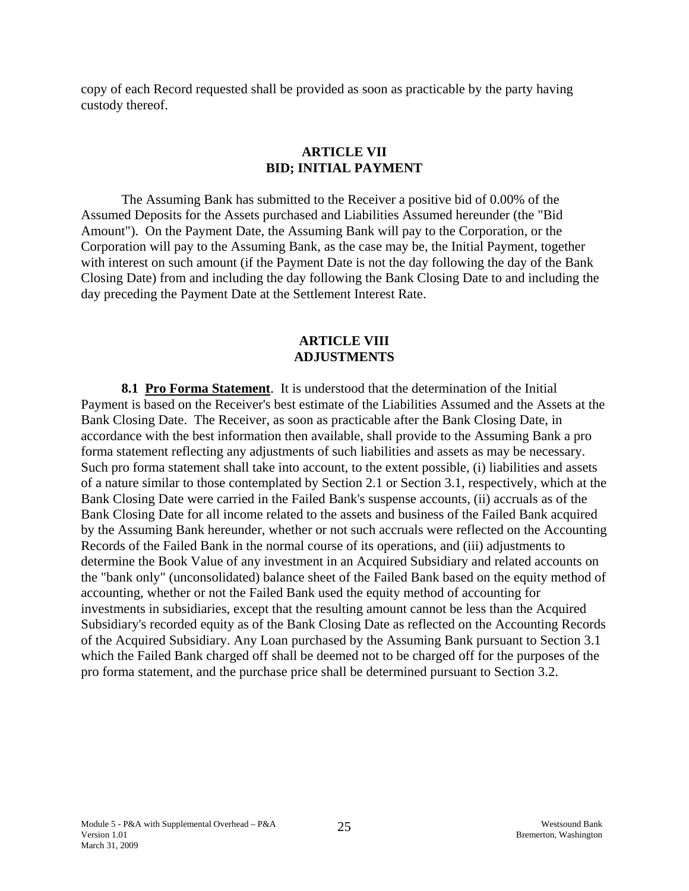<span id="page-28-0"></span>copy of each Record requested shall be provided as soon as practicable by the party having custody thereof.

#### **ARTICLE VII BID; INITIAL PAYMENT**

The Assuming Bank has submitted to the Receiver a positive bid of 0.00% of the Assumed Deposits for the Assets purchased and Liabilities Assumed hereunder (the "Bid Amount"). On the Payment Date, the Assuming Bank will pay to the Corporation, or the Corporation will pay to the Assuming Bank, as the case may be, the Initial Payment, together with interest on such amount (if the Payment Date is not the day following the day of the Bank Closing Date) from and including the day following the Bank Closing Date to and including the day preceding the Payment Date at the Settlement Interest Rate.

#### **ARTICLE VIII ADJUSTMENTS**

**8.1 Pro Forma Statement**. It is understood that the determination of the Initial Payment is based on the Receiver's best estimate of the Liabilities Assumed and the Assets at the Bank Closing Date. The Receiver, as soon as practicable after the Bank Closing Date, in accordance with the best information then available, shall provide to the Assuming Bank a pro forma statement reflecting any adjustments of such liabilities and assets as may be necessary. Such pro forma statement shall take into account, to the extent possible, (i) liabilities and assets of a nature similar to those contemplated by Section 2.1 or Section 3.1, respectively, which at the Bank Closing Date were carried in the Failed Bank's suspense accounts, (ii) accruals as of the Bank Closing Date for all income related to the assets and business of the Failed Bank acquired by the Assuming Bank hereunder, whether or not such accruals were reflected on the Accounting Records of the Failed Bank in the normal course of its operations, and (iii) adjustments to determine the Book Value of any investment in an Acquired Subsidiary and related accounts on the "bank only" (unconsolidated) balance sheet of the Failed Bank based on the equity method of accounting, whether or not the Failed Bank used the equity method of accounting for investments in subsidiaries, except that the resulting amount cannot be less than the Acquired Subsidiary's recorded equity as of the Bank Closing Date as reflected on the Accounting Records of the Acquired Subsidiary. Any Loan purchased by the Assuming Bank pursuant to Section 3.1 which the Failed Bank charged off shall be deemed not to be charged off for the purposes of the pro forma statement, and the purchase price shall be determined pursuant to Section 3.2.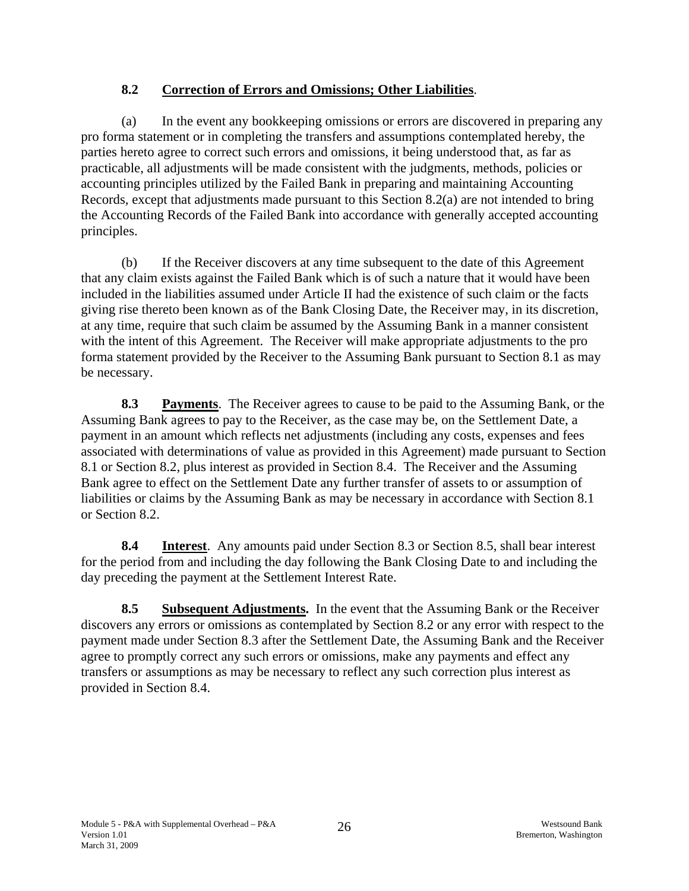## **8.2 Correction of Errors and Omissions; Other Liabilities**.

<span id="page-29-0"></span>(a) In the event any bookkeeping omissions or errors are discovered in preparing any pro forma statement or in completing the transfers and assumptions contemplated hereby, the parties hereto agree to correct such errors and omissions, it being understood that, as far as practicable, all adjustments will be made consistent with the judgments, methods, policies or accounting principles utilized by the Failed Bank in preparing and maintaining Accounting Records, except that adjustments made pursuant to this Section 8.2(a) are not intended to bring the Accounting Records of the Failed Bank into accordance with generally accepted accounting principles.

(b) If the Receiver discovers at any time subsequent to the date of this Agreement that any claim exists against the Failed Bank which is of such a nature that it would have been included in the liabilities assumed under Article II had the existence of such claim or the facts giving rise thereto been known as of the Bank Closing Date, the Receiver may, in its discretion, at any time, require that such claim be assumed by the Assuming Bank in a manner consistent with the intent of this Agreement. The Receiver will make appropriate adjustments to the pro forma statement provided by the Receiver to the Assuming Bank pursuant to Section 8.1 as may be necessary.

**8.3 Payments**. The Receiver agrees to cause to be paid to the Assuming Bank, or the Assuming Bank agrees to pay to the Receiver, as the case may be, on the Settlement Date, a payment in an amount which reflects net adjustments (including any costs, expenses and fees associated with determinations of value as provided in this Agreement) made pursuant to Section 8.1 or Section 8.2, plus interest as provided in Section 8.4. The Receiver and the Assuming Bank agree to effect on the Settlement Date any further transfer of assets to or assumption of liabilities or claims by the Assuming Bank as may be necessary in accordance with Section 8.1 or Section 8.2.

**8.4 Interest**. Any amounts paid under Section 8.3 or Section 8.5, shall bear interest for the period from and including the day following the Bank Closing Date to and including the day preceding the payment at the Settlement Interest Rate.

**8.5 Subsequent Adjustments.** In the event that the Assuming Bank or the Receiver discovers any errors or omissions as contemplated by Section 8.2 or any error with respect to the payment made under Section 8.3 after the Settlement Date, the Assuming Bank and the Receiver agree to promptly correct any such errors or omissions, make any payments and effect any transfers or assumptions as may be necessary to reflect any such correction plus interest as provided in Section 8.4.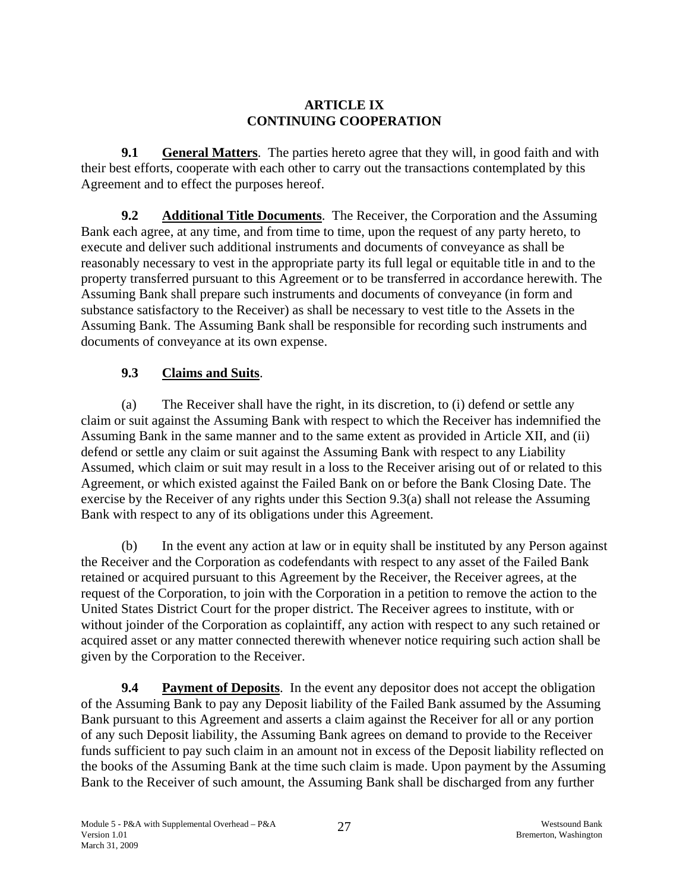### **ARTICLE IX CONTINUING COOPERATION**

<span id="page-30-0"></span>**9.1** General Matters. The parties hereto agree that they will, in good faith and with their best efforts, cooperate with each other to carry out the transactions contemplated by this Agreement and to effect the purposes hereof.

**9.2** Additional Title Documents. The Receiver, the Corporation and the Assuming Bank each agree, at any time, and from time to time, upon the request of any party hereto, to execute and deliver such additional instruments and documents of conveyance as shall be reasonably necessary to vest in the appropriate party its full legal or equitable title in and to the property transferred pursuant to this Agreement or to be transferred in accordance herewith. The Assuming Bank shall prepare such instruments and documents of conveyance (in form and substance satisfactory to the Receiver) as shall be necessary to vest title to the Assets in the Assuming Bank. The Assuming Bank shall be responsible for recording such instruments and documents of conveyance at its own expense.

# **9.3 Claims and Suits**.

(a) The Receiver shall have the right, in its discretion, to (i) defend or settle any claim or suit against the Assuming Bank with respect to which the Receiver has indemnified the Assuming Bank in the same manner and to the same extent as provided in Article XII, and (ii) defend or settle any claim or suit against the Assuming Bank with respect to any Liability Assumed, which claim or suit may result in a loss to the Receiver arising out of or related to this Agreement, or which existed against the Failed Bank on or before the Bank Closing Date. The exercise by the Receiver of any rights under this Section 9.3(a) shall not release the Assuming Bank with respect to any of its obligations under this Agreement.

(b) In the event any action at law or in equity shall be instituted by any Person against the Receiver and the Corporation as codefendants with respect to any asset of the Failed Bank retained or acquired pursuant to this Agreement by the Receiver, the Receiver agrees, at the request of the Corporation, to join with the Corporation in a petition to remove the action to the United States District Court for the proper district. The Receiver agrees to institute, with or without joinder of the Corporation as coplaintiff, any action with respect to any such retained or acquired asset or any matter connected therewith whenever notice requiring such action shall be given by the Corporation to the Receiver.

**9.4 Payment of Deposits**. In the event any depositor does not accept the obligation of the Assuming Bank to pay any Deposit liability of the Failed Bank assumed by the Assuming Bank pursuant to this Agreement and asserts a claim against the Receiver for all or any portion of any such Deposit liability, the Assuming Bank agrees on demand to provide to the Receiver funds sufficient to pay such claim in an amount not in excess of the Deposit liability reflected on the books of the Assuming Bank at the time such claim is made. Upon payment by the Assuming Bank to the Receiver of such amount, the Assuming Bank shall be discharged from any further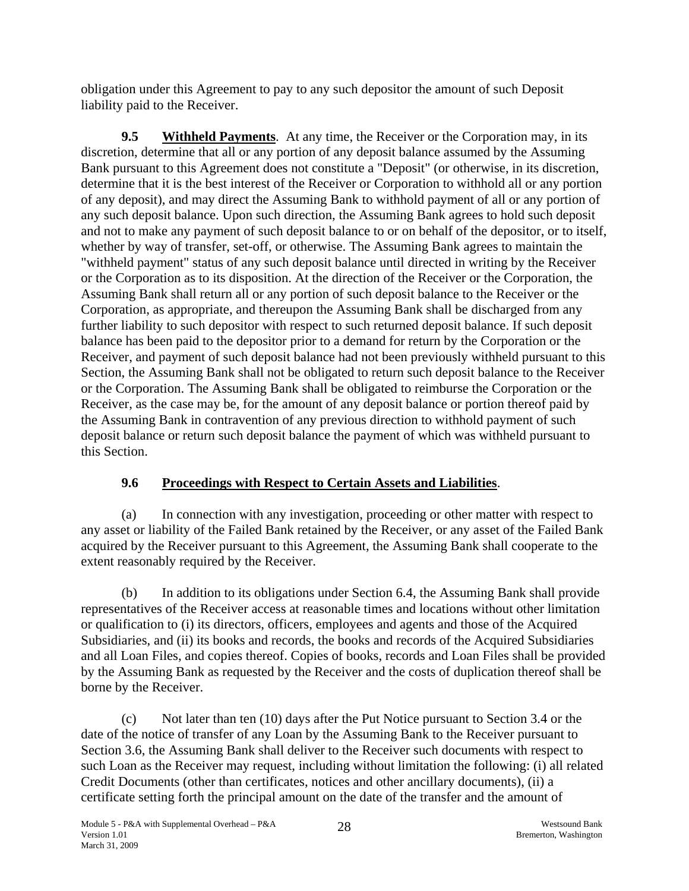<span id="page-31-0"></span>obligation under this Agreement to pay to any such depositor the amount of such Deposit liability paid to the Receiver.

**9.5 Withheld Payments**. At any time, the Receiver or the Corporation may, in its discretion, determine that all or any portion of any deposit balance assumed by the Assuming Bank pursuant to this Agreement does not constitute a "Deposit" (or otherwise, in its discretion, determine that it is the best interest of the Receiver or Corporation to withhold all or any portion of any deposit), and may direct the Assuming Bank to withhold payment of all or any portion of any such deposit balance. Upon such direction, the Assuming Bank agrees to hold such deposit and not to make any payment of such deposit balance to or on behalf of the depositor, or to itself, whether by way of transfer, set-off, or otherwise. The Assuming Bank agrees to maintain the "withheld payment" status of any such deposit balance until directed in writing by the Receiver or the Corporation as to its disposition. At the direction of the Receiver or the Corporation, the Assuming Bank shall return all or any portion of such deposit balance to the Receiver or the Corporation, as appropriate, and thereupon the Assuming Bank shall be discharged from any further liability to such depositor with respect to such returned deposit balance. If such deposit balance has been paid to the depositor prior to a demand for return by the Corporation or the Receiver, and payment of such deposit balance had not been previously withheld pursuant to this Section, the Assuming Bank shall not be obligated to return such deposit balance to the Receiver or the Corporation. The Assuming Bank shall be obligated to reimburse the Corporation or the Receiver, as the case may be, for the amount of any deposit balance or portion thereof paid by the Assuming Bank in contravention of any previous direction to withhold payment of such deposit balance or return such deposit balance the payment of which was withheld pursuant to this Section.

# **9.6 Proceedings with Respect to Certain Assets and Liabilities**.

(a) In connection with any investigation, proceeding or other matter with respect to any asset or liability of the Failed Bank retained by the Receiver, or any asset of the Failed Bank acquired by the Receiver pursuant to this Agreement, the Assuming Bank shall cooperate to the extent reasonably required by the Receiver.

(b) In addition to its obligations under Section 6.4, the Assuming Bank shall provide representatives of the Receiver access at reasonable times and locations without other limitation or qualification to (i) its directors, officers, employees and agents and those of the Acquired Subsidiaries, and (ii) its books and records, the books and records of the Acquired Subsidiaries and all Loan Files, and copies thereof. Copies of books, records and Loan Files shall be provided by the Assuming Bank as requested by the Receiver and the costs of duplication thereof shall be borne by the Receiver.

(c) Not later than ten (10) days after the Put Notice pursuant to Section 3.4 or the date of the notice of transfer of any Loan by the Assuming Bank to the Receiver pursuant to Section 3.6, the Assuming Bank shall deliver to the Receiver such documents with respect to such Loan as the Receiver may request, including without limitation the following: (i) all related Credit Documents (other than certificates, notices and other ancillary documents), (ii) a certificate setting forth the principal amount on the date of the transfer and the amount of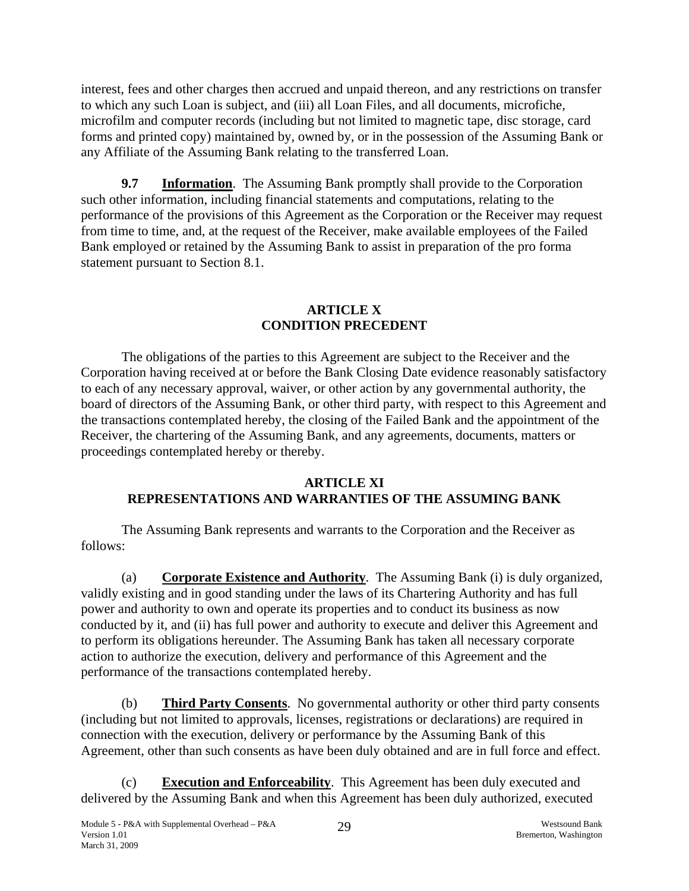<span id="page-32-0"></span>interest, fees and other charges then accrued and unpaid thereon, and any restrictions on transfer to which any such Loan is subject, and (iii) all Loan Files, and all documents, microfiche, microfilm and computer records (including but not limited to magnetic tape, disc storage, card forms and printed copy) maintained by, owned by, or in the possession of the Assuming Bank or any Affiliate of the Assuming Bank relating to the transferred Loan.

**9.7 Information.** The Assuming Bank promptly shall provide to the Corporation such other information, including financial statements and computations, relating to the performance of the provisions of this Agreement as the Corporation or the Receiver may request from time to time, and, at the request of the Receiver, make available employees of the Failed Bank employed or retained by the Assuming Bank to assist in preparation of the pro forma statement pursuant to Section 8.1.

## **ARTICLE X CONDITION PRECEDENT**

The obligations of the parties to this Agreement are subject to the Receiver and the Corporation having received at or before the Bank Closing Date evidence reasonably satisfactory to each of any necessary approval, waiver, or other action by any governmental authority, the board of directors of the Assuming Bank, or other third party, with respect to this Agreement and the transactions contemplated hereby, the closing of the Failed Bank and the appointment of the Receiver, the chartering of the Assuming Bank, and any agreements, documents, matters or proceedings contemplated hereby or thereby.

#### **ARTICLE XI REPRESENTATIONS AND WARRANTIES OF THE ASSUMING BANK**

The Assuming Bank represents and warrants to the Corporation and the Receiver as follows:

(a) **Corporate Existence and Authority**. The Assuming Bank (i) is duly organized, validly existing and in good standing under the laws of its Chartering Authority and has full power and authority to own and operate its properties and to conduct its business as now conducted by it, and (ii) has full power and authority to execute and deliver this Agreement and to perform its obligations hereunder. The Assuming Bank has taken all necessary corporate action to authorize the execution, delivery and performance of this Agreement and the performance of the transactions contemplated hereby.

(b) **Third Party Consents**. No governmental authority or other third party consents (including but not limited to approvals, licenses, registrations or declarations) are required in connection with the execution, delivery or performance by the Assuming Bank of this Agreement, other than such consents as have been duly obtained and are in full force and effect.

(c) **Execution and Enforceability**. This Agreement has been duly executed and delivered by the Assuming Bank and when this Agreement has been duly authorized, executed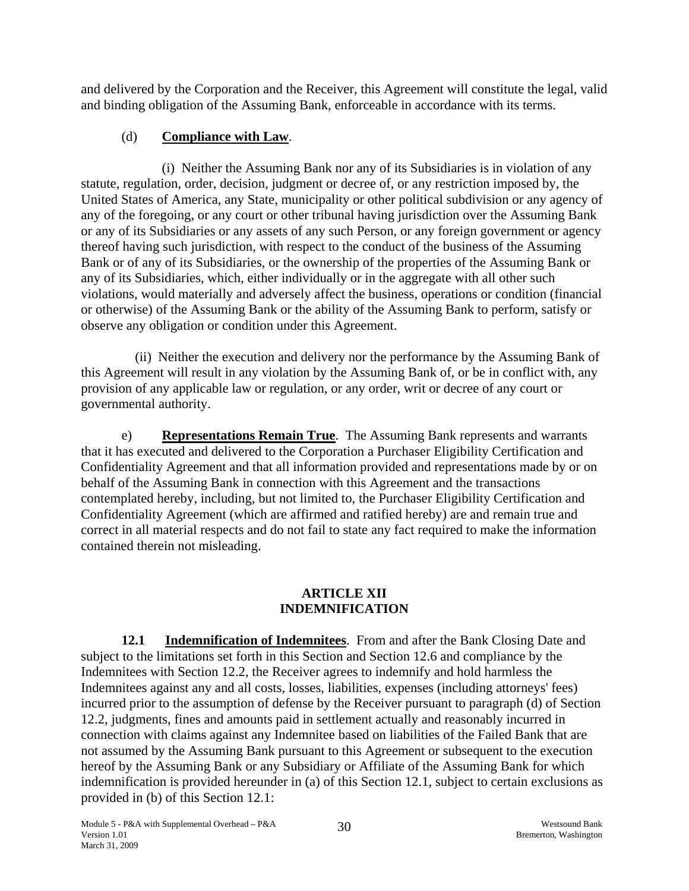<span id="page-33-0"></span>and delivered by the Corporation and the Receiver, this Agreement will constitute the legal, valid and binding obligation of the Assuming Bank, enforceable in accordance with its terms.

## (d) **Compliance with Law**.

(i) Neither the Assuming Bank nor any of its Subsidiaries is in violation of any statute, regulation, order, decision, judgment or decree of, or any restriction imposed by, the United States of America, any State, municipality or other political subdivision or any agency of any of the foregoing, or any court or other tribunal having jurisdiction over the Assuming Bank or any of its Subsidiaries or any assets of any such Person, or any foreign government or agency thereof having such jurisdiction, with respect to the conduct of the business of the Assuming Bank or of any of its Subsidiaries, or the ownership of the properties of the Assuming Bank or any of its Subsidiaries, which, either individually or in the aggregate with all other such violations, would materially and adversely affect the business, operations or condition (financial or otherwise) of the Assuming Bank or the ability of the Assuming Bank to perform, satisfy or observe any obligation or condition under this Agreement.

(ii) Neither the execution and delivery nor the performance by the Assuming Bank of this Agreement will result in any violation by the Assuming Bank of, or be in conflict with, any provision of any applicable law or regulation, or any order, writ or decree of any court or governmental authority.

e) **Representations Remain True**. The Assuming Bank represents and warrants that it has executed and delivered to the Corporation a Purchaser Eligibility Certification and Confidentiality Agreement and that all information provided and representations made by or on behalf of the Assuming Bank in connection with this Agreement and the transactions contemplated hereby, including, but not limited to, the Purchaser Eligibility Certification and Confidentiality Agreement (which are affirmed and ratified hereby) are and remain true and correct in all material respects and do not fail to state any fact required to make the information contained therein not misleading.

### **ARTICLE XII INDEMNIFICATION**

**12.1 Indemnification of Indemnitees**. From and after the Bank Closing Date and subject to the limitations set forth in this Section and Section 12.6 and compliance by the Indemnitees with Section 12.2, the Receiver agrees to indemnify and hold harmless the Indemnitees against any and all costs, losses, liabilities, expenses (including attorneys' fees) incurred prior to the assumption of defense by the Receiver pursuant to paragraph (d) of Section 12.2, judgments, fines and amounts paid in settlement actually and reasonably incurred in connection with claims against any Indemnitee based on liabilities of the Failed Bank that are not assumed by the Assuming Bank pursuant to this Agreement or subsequent to the execution hereof by the Assuming Bank or any Subsidiary or Affiliate of the Assuming Bank for which indemnification is provided hereunder in (a) of this Section 12.1, subject to certain exclusions as provided in (b) of this Section 12.1: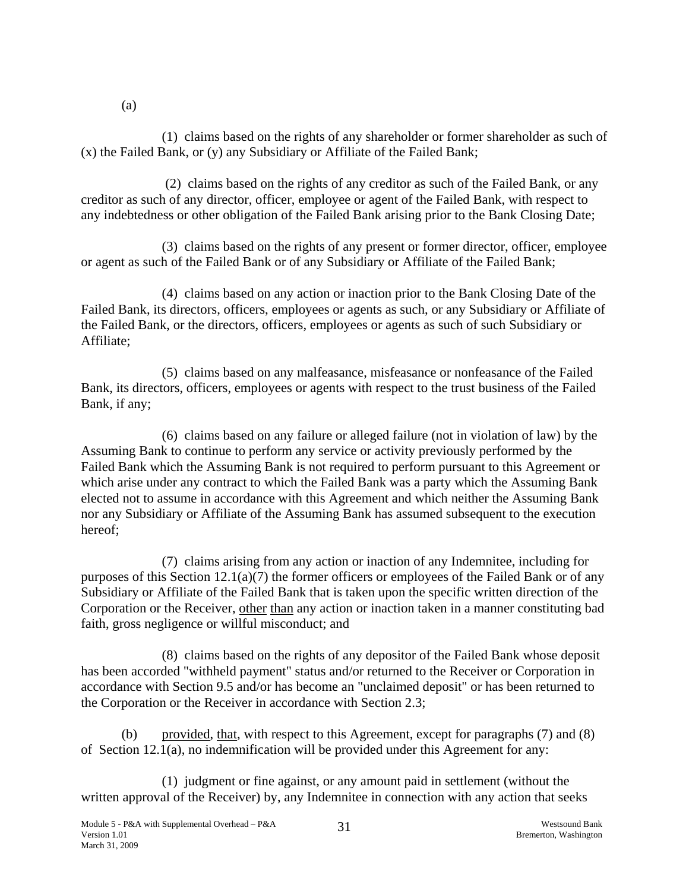(a)

(1) claims based on the rights of any shareholder or former shareholder as such of (x) the Failed Bank, or (y) any Subsidiary or Affiliate of the Failed Bank;

(2) claims based on the rights of any creditor as such of the Failed Bank, or any creditor as such of any director, officer, employee or agent of the Failed Bank, with respect to any indebtedness or other obligation of the Failed Bank arising prior to the Bank Closing Date;

(3) claims based on the rights of any present or former director, officer, employee or agent as such of the Failed Bank or of any Subsidiary or Affiliate of the Failed Bank;

(4) claims based on any action or inaction prior to the Bank Closing Date of the Failed Bank, its directors, officers, employees or agents as such, or any Subsidiary or Affiliate of the Failed Bank, or the directors, officers, employees or agents as such of such Subsidiary or Affiliate;

(5) claims based on any malfeasance, misfeasance or nonfeasance of the Failed Bank, its directors, officers, employees or agents with respect to the trust business of the Failed Bank, if any;

(6) claims based on any failure or alleged failure (not in violation of law) by the Assuming Bank to continue to perform any service or activity previously performed by the Failed Bank which the Assuming Bank is not required to perform pursuant to this Agreement or which arise under any contract to which the Failed Bank was a party which the Assuming Bank elected not to assume in accordance with this Agreement and which neither the Assuming Bank nor any Subsidiary or Affiliate of the Assuming Bank has assumed subsequent to the execution hereof;

(7) claims arising from any action or inaction of any Indemnitee, including for purposes of this Section 12.1(a)(7) the former officers or employees of the Failed Bank or of any Subsidiary or Affiliate of the Failed Bank that is taken upon the specific written direction of the Corporation or the Receiver, other than any action or inaction taken in a manner constituting bad faith, gross negligence or willful misconduct; and

(8) claims based on the rights of any depositor of the Failed Bank whose deposit has been accorded "withheld payment" status and/or returned to the Receiver or Corporation in accordance with Section 9.5 and/or has become an "unclaimed deposit" or has been returned to the Corporation or the Receiver in accordance with Section 2.3;

(b) provided, that, with respect to this Agreement, except for paragraphs (7) and (8) of Section 12.1(a), no indemnification will be provided under this Agreement for any:

(1) judgment or fine against, or any amount paid in settlement (without the written approval of the Receiver) by, any Indemnitee in connection with any action that seeks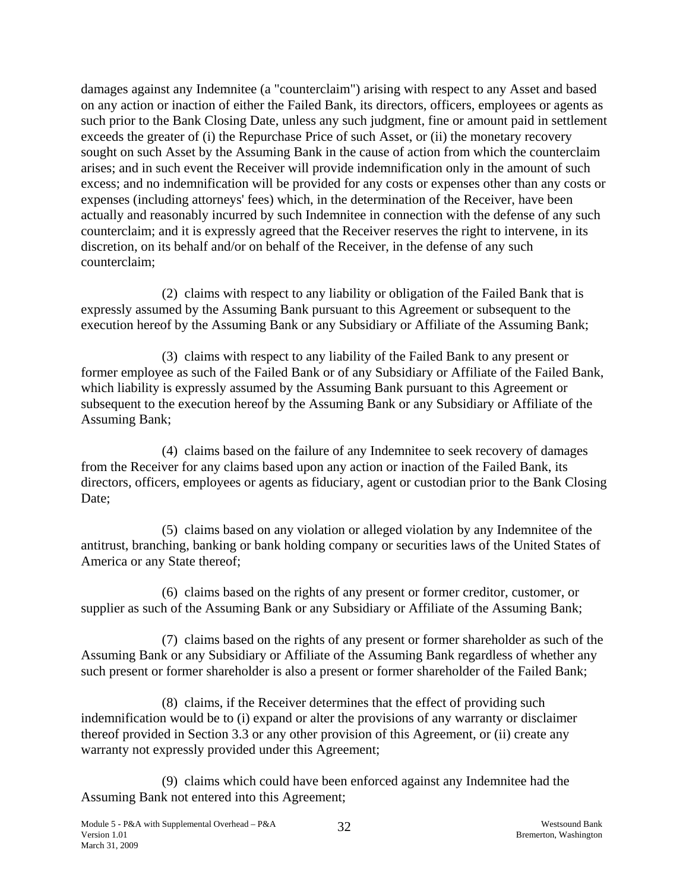damages against any Indemnitee (a "counterclaim") arising with respect to any Asset and based on any action or inaction of either the Failed Bank, its directors, officers, employees or agents as such prior to the Bank Closing Date, unless any such judgment, fine or amount paid in settlement exceeds the greater of (i) the Repurchase Price of such Asset, or (ii) the monetary recovery sought on such Asset by the Assuming Bank in the cause of action from which the counterclaim arises; and in such event the Receiver will provide indemnification only in the amount of such excess; and no indemnification will be provided for any costs or expenses other than any costs or expenses (including attorneys' fees) which, in the determination of the Receiver, have been actually and reasonably incurred by such Indemnitee in connection with the defense of any such counterclaim; and it is expressly agreed that the Receiver reserves the right to intervene, in its discretion, on its behalf and/or on behalf of the Receiver, in the defense of any such counterclaim;

(2) claims with respect to any liability or obligation of the Failed Bank that is expressly assumed by the Assuming Bank pursuant to this Agreement or subsequent to the execution hereof by the Assuming Bank or any Subsidiary or Affiliate of the Assuming Bank;

(3) claims with respect to any liability of the Failed Bank to any present or former employee as such of the Failed Bank or of any Subsidiary or Affiliate of the Failed Bank, which liability is expressly assumed by the Assuming Bank pursuant to this Agreement or subsequent to the execution hereof by the Assuming Bank or any Subsidiary or Affiliate of the Assuming Bank;

(4) claims based on the failure of any Indemnitee to seek recovery of damages from the Receiver for any claims based upon any action or inaction of the Failed Bank, its directors, officers, employees or agents as fiduciary, agent or custodian prior to the Bank Closing Date:

(5) claims based on any violation or alleged violation by any Indemnitee of the antitrust, branching, banking or bank holding company or securities laws of the United States of America or any State thereof;

(6) claims based on the rights of any present or former creditor, customer, or supplier as such of the Assuming Bank or any Subsidiary or Affiliate of the Assuming Bank;

(7) claims based on the rights of any present or former shareholder as such of the Assuming Bank or any Subsidiary or Affiliate of the Assuming Bank regardless of whether any such present or former shareholder is also a present or former shareholder of the Failed Bank;

(8) claims, if the Receiver determines that the effect of providing such indemnification would be to (i) expand or alter the provisions of any warranty or disclaimer thereof provided in Section 3.3 or any other provision of this Agreement, or (ii) create any warranty not expressly provided under this Agreement;

(9) claims which could have been enforced against any Indemnitee had the Assuming Bank not entered into this Agreement;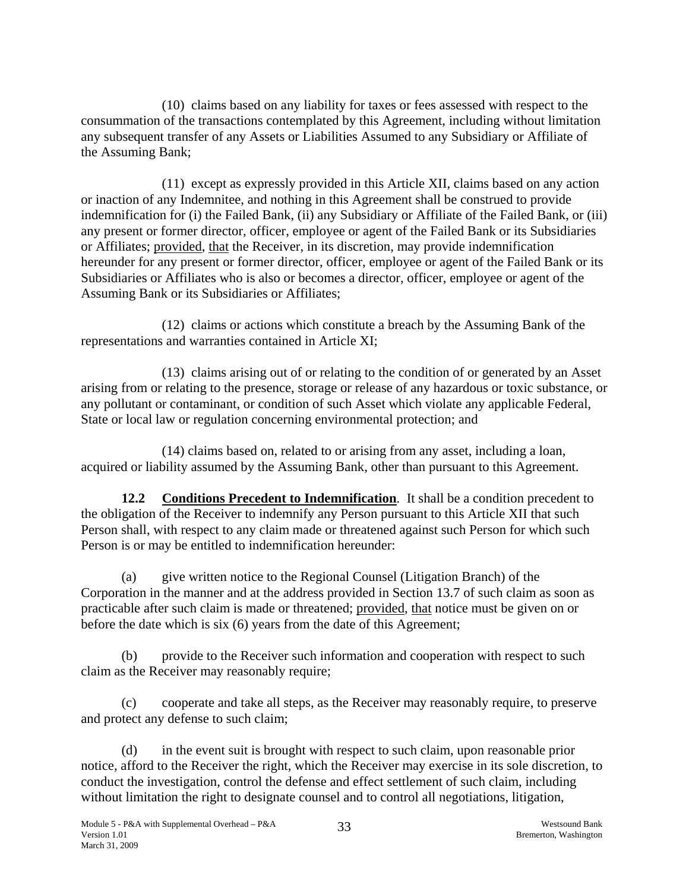<span id="page-36-0"></span>(10) claims based on any liability for taxes or fees assessed with respect to the consummation of the transactions contemplated by this Agreement, including without limitation any subsequent transfer of any Assets or Liabilities Assumed to any Subsidiary or Affiliate of the Assuming Bank;

(11) except as expressly provided in this Article XII, claims based on any action or inaction of any Indemnitee, and nothing in this Agreement shall be construed to provide indemnification for (i) the Failed Bank, (ii) any Subsidiary or Affiliate of the Failed Bank, or (iii) any present or former director, officer, employee or agent of the Failed Bank or its Subsidiaries or Affiliates; provided, that the Receiver, in its discretion, may provide indemnification hereunder for any present or former director, officer, employee or agent of the Failed Bank or its Subsidiaries or Affiliates who is also or becomes a director, officer, employee or agent of the Assuming Bank or its Subsidiaries or Affiliates;

(12) claims or actions which constitute a breach by the Assuming Bank of the representations and warranties contained in Article XI;

(13) claims arising out of or relating to the condition of or generated by an Asset arising from or relating to the presence, storage or release of any hazardous or toxic substance, or any pollutant or contaminant, or condition of such Asset which violate any applicable Federal, State or local law or regulation concerning environmental protection; and

(14) claims based on, related to or arising from any asset, including a loan, acquired or liability assumed by the Assuming Bank, other than pursuant to this Agreement.

**12.2** Conditions Precedent to Indemnification. It shall be a condition precedent to the obligation of the Receiver to indemnify any Person pursuant to this Article XII that such Person shall, with respect to any claim made or threatened against such Person for which such Person is or may be entitled to indemnification hereunder:

(a) give written notice to the Regional Counsel (Litigation Branch) of the Corporation in the manner and at the address provided in Section 13.7 of such claim as soon as practicable after such claim is made or threatened; provided, that notice must be given on or before the date which is six (6) years from the date of this Agreement;

(b) provide to the Receiver such information and cooperation with respect to such claim as the Receiver may reasonably require;

(c) cooperate and take all steps, as the Receiver may reasonably require, to preserve and protect any defense to such claim;

(d) in the event suit is brought with respect to such claim, upon reasonable prior notice, afford to the Receiver the right, which the Receiver may exercise in its sole discretion, to conduct the investigation, control the defense and effect settlement of such claim, including without limitation the right to designate counsel and to control all negotiations, litigation,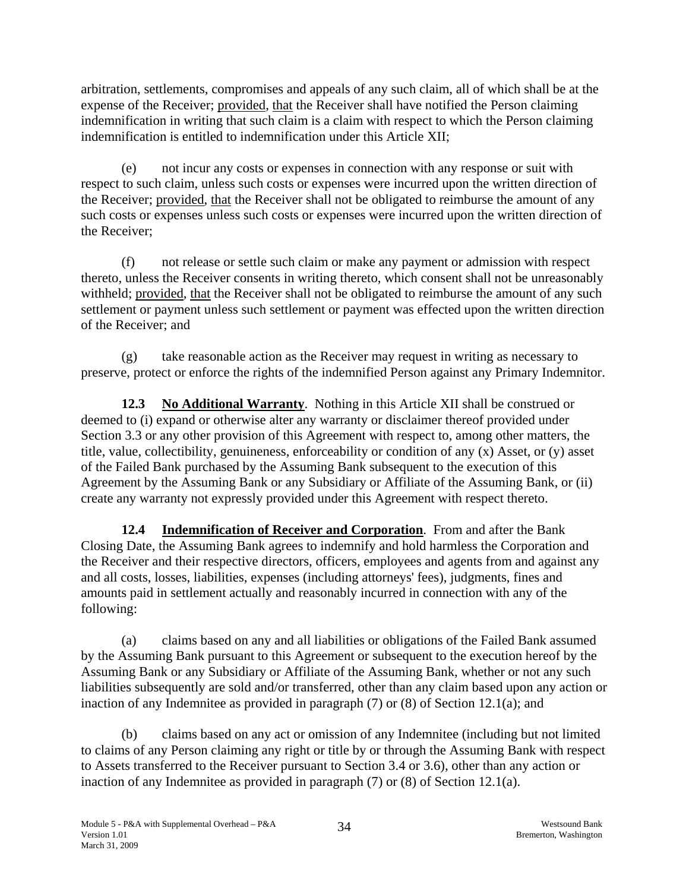<span id="page-37-0"></span>arbitration, settlements, compromises and appeals of any such claim, all of which shall be at the expense of the Receiver; provided, that the Receiver shall have notified the Person claiming indemnification in writing that such claim is a claim with respect to which the Person claiming indemnification is entitled to indemnification under this Article XII;

(e) not incur any costs or expenses in connection with any response or suit with respect to such claim, unless such costs or expenses were incurred upon the written direction of the Receiver; provided, that the Receiver shall not be obligated to reimburse the amount of any such costs or expenses unless such costs or expenses were incurred upon the written direction of the Receiver;

(f) not release or settle such claim or make any payment or admission with respect thereto, unless the Receiver consents in writing thereto, which consent shall not be unreasonably withheld; provided, that the Receiver shall not be obligated to reimburse the amount of any such settlement or payment unless such settlement or payment was effected upon the written direction of the Receiver; and

(g) take reasonable action as the Receiver may request in writing as necessary to preserve, protect or enforce the rights of the indemnified Person against any Primary Indemnitor.

**12.3 No Additional Warranty**. Nothing in this Article XII shall be construed or deemed to (i) expand or otherwise alter any warranty or disclaimer thereof provided under Section 3.3 or any other provision of this Agreement with respect to, among other matters, the title, value, collectibility, genuineness, enforceability or condition of any (x) Asset, or (y) asset of the Failed Bank purchased by the Assuming Bank subsequent to the execution of this Agreement by the Assuming Bank or any Subsidiary or Affiliate of the Assuming Bank, or (ii) create any warranty not expressly provided under this Agreement with respect thereto.

**12.4 Indemnification of Receiver and Corporation**. From and after the Bank Closing Date, the Assuming Bank agrees to indemnify and hold harmless the Corporation and the Receiver and their respective directors, officers, employees and agents from and against any and all costs, losses, liabilities, expenses (including attorneys' fees), judgments, fines and amounts paid in settlement actually and reasonably incurred in connection with any of the following:

(a) claims based on any and all liabilities or obligations of the Failed Bank assumed by the Assuming Bank pursuant to this Agreement or subsequent to the execution hereof by the Assuming Bank or any Subsidiary or Affiliate of the Assuming Bank, whether or not any such liabilities subsequently are sold and/or transferred, other than any claim based upon any action or inaction of any Indemnitee as provided in paragraph (7) or (8) of Section 12.1(a); and

(b) claims based on any act or omission of any Indemnitee (including but not limited to claims of any Person claiming any right or title by or through the Assuming Bank with respect to Assets transferred to the Receiver pursuant to Section 3.4 or 3.6), other than any action or inaction of any Indemnitee as provided in paragraph (7) or (8) of Section 12.1(a).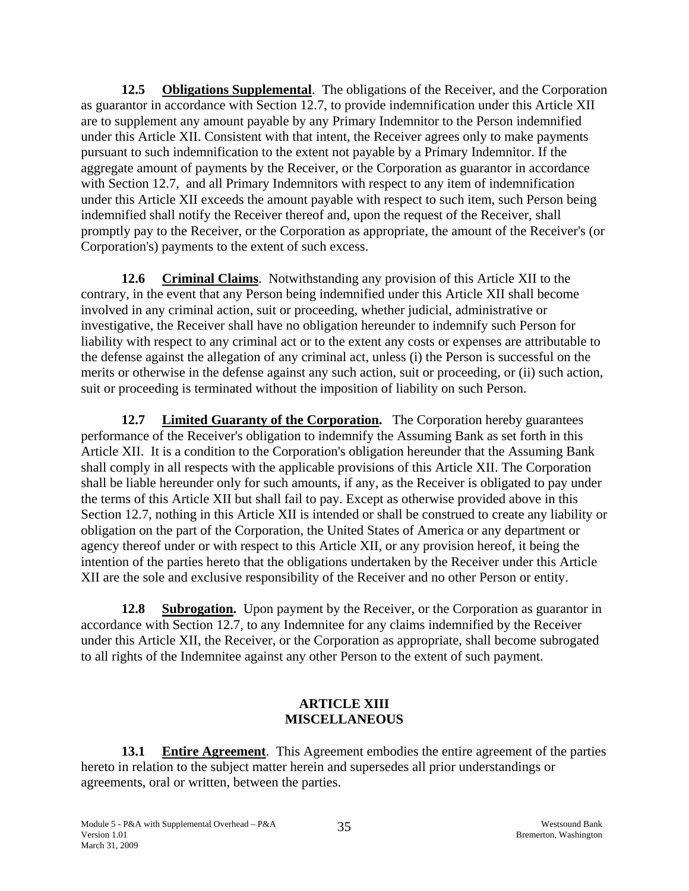<span id="page-38-0"></span>**12.5 Obligations Supplemental**. The obligations of the Receiver, and the Corporation as guarantor in accordance with Section 12.7, to provide indemnification under this Article XII are to supplement any amount payable by any Primary Indemnitor to the Person indemnified under this Article XII. Consistent with that intent, the Receiver agrees only to make payments pursuant to such indemnification to the extent not payable by a Primary Indemnitor. If the aggregate amount of payments by the Receiver, or the Corporation as guarantor in accordance with Section 12.7, and all Primary Indemnitors with respect to any item of indemnification under this Article XII exceeds the amount payable with respect to such item, such Person being indemnified shall notify the Receiver thereof and, upon the request of the Receiver, shall promptly pay to the Receiver, or the Corporation as appropriate, the amount of the Receiver's (or Corporation's) payments to the extent of such excess.

**12.6 Criminal Claims**. Notwithstanding any provision of this Article XII to the contrary, in the event that any Person being indemnified under this Article XII shall become involved in any criminal action, suit or proceeding, whether judicial, administrative or investigative, the Receiver shall have no obligation hereunder to indemnify such Person for liability with respect to any criminal act or to the extent any costs or expenses are attributable to the defense against the allegation of any criminal act, unless (i) the Person is successful on the merits or otherwise in the defense against any such action, suit or proceeding, or (ii) such action, suit or proceeding is terminated without the imposition of liability on such Person.

**12.7 Limited Guaranty of the Corporation.** The Corporation hereby guarantees performance of the Receiver's obligation to indemnify the Assuming Bank as set forth in this Article XII. It is a condition to the Corporation's obligation hereunder that the Assuming Bank shall comply in all respects with the applicable provisions of this Article XII. The Corporation shall be liable hereunder only for such amounts, if any, as the Receiver is obligated to pay under the terms of this Article XII but shall fail to pay. Except as otherwise provided above in this Section 12.7, nothing in this Article XII is intended or shall be construed to create any liability or obligation on the part of the Corporation, the United States of America or any department or agency thereof under or with respect to this Article XII, or any provision hereof, it being the intention of the parties hereto that the obligations undertaken by the Receiver under this Article XII are the sole and exclusive responsibility of the Receiver and no other Person or entity.

**12.8** Subrogation. Upon payment by the Receiver, or the Corporation as guarantor in accordance with Section 12.7, to any Indemnitee for any claims indemnified by the Receiver under this Article XII, the Receiver, or the Corporation as appropriate, shall become subrogated to all rights of the Indemnitee against any other Person to the extent of such payment.

#### **ARTICLE XIII MISCELLANEOUS**

**13.1 Entire Agreement**. This Agreement embodies the entire agreement of the parties hereto in relation to the subject matter herein and supersedes all prior understandings or agreements, oral or written, between the parties.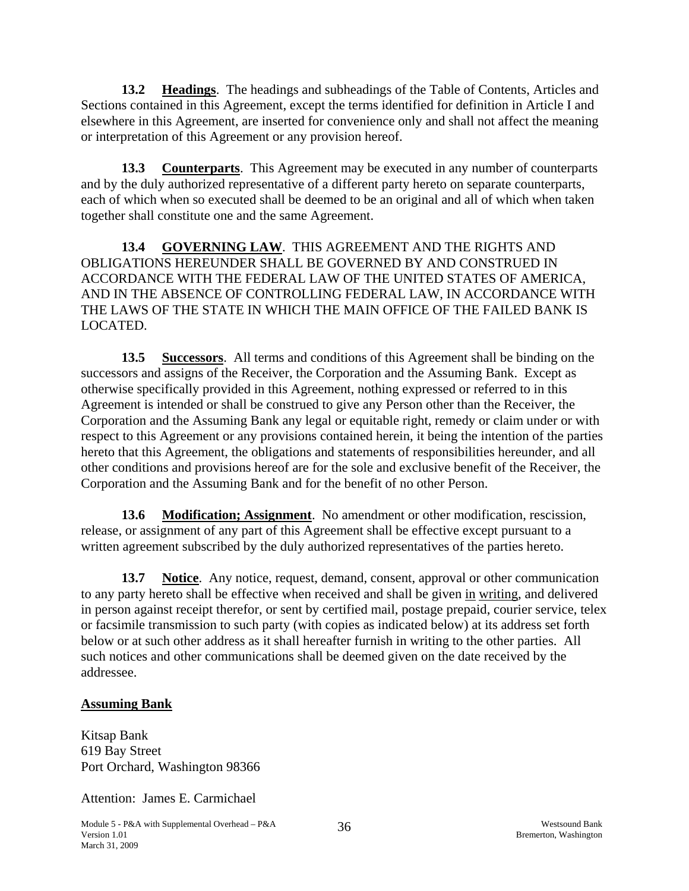<span id="page-39-0"></span>**13.2 Headings**. The headings and subheadings of the Table of Contents, Articles and Sections contained in this Agreement, except the terms identified for definition in Article I and elsewhere in this Agreement, are inserted for convenience only and shall not affect the meaning or interpretation of this Agreement or any provision hereof.

**13.3 Counterparts**. This Agreement may be executed in any number of counterparts and by the duly authorized representative of a different party hereto on separate counterparts, each of which when so executed shall be deemed to be an original and all of which when taken together shall constitute one and the same Agreement.

**13.4 GOVERNING LAW**. THIS AGREEMENT AND THE RIGHTS AND OBLIGATIONS HEREUNDER SHALL BE GOVERNED BY AND CONSTRUED IN ACCORDANCE WITH THE FEDERAL LAW OF THE UNITED STATES OF AMERICA, AND IN THE ABSENCE OF CONTROLLING FEDERAL LAW, IN ACCORDANCE WITH THE LAWS OF THE STATE IN WHICH THE MAIN OFFICE OF THE FAILED BANK IS LOCATED.

**13.5 Successors**. All terms and conditions of this Agreement shall be binding on the successors and assigns of the Receiver, the Corporation and the Assuming Bank. Except as otherwise specifically provided in this Agreement, nothing expressed or referred to in this Agreement is intended or shall be construed to give any Person other than the Receiver, the Corporation and the Assuming Bank any legal or equitable right, remedy or claim under or with respect to this Agreement or any provisions contained herein, it being the intention of the parties hereto that this Agreement, the obligations and statements of responsibilities hereunder, and all other conditions and provisions hereof are for the sole and exclusive benefit of the Receiver, the Corporation and the Assuming Bank and for the benefit of no other Person.

**13.6 Modification; Assignment**. No amendment or other modification, rescission, release, or assignment of any part of this Agreement shall be effective except pursuant to a written agreement subscribed by the duly authorized representatives of the parties hereto.

**13.7 Notice**. Any notice, request, demand, consent, approval or other communication to any party hereto shall be effective when received and shall be given in writing, and delivered in person against receipt therefor, or sent by certified mail, postage prepaid, courier service, telex or facsimile transmission to such party (with copies as indicated below) at its address set forth below or at such other address as it shall hereafter furnish in writing to the other parties. All such notices and other communications shall be deemed given on the date received by the addressee.

#### **Assuming Bank**

Kitsap Bank 619 Bay Street Port Orchard, Washington 98366

Attention: James E. Carmichael

Module 5 - P&A with Supplemental Overhead – P&A 36 Westsound Bank 36 Westsound Bank 36 Westsound Bank 36 Westsound Bank 36 Westsound Bank 36 Westsound Bank 36 Westsound Bank 36 Westsound Bank 36 Westsound Bank 36 Westsound March 31, 2009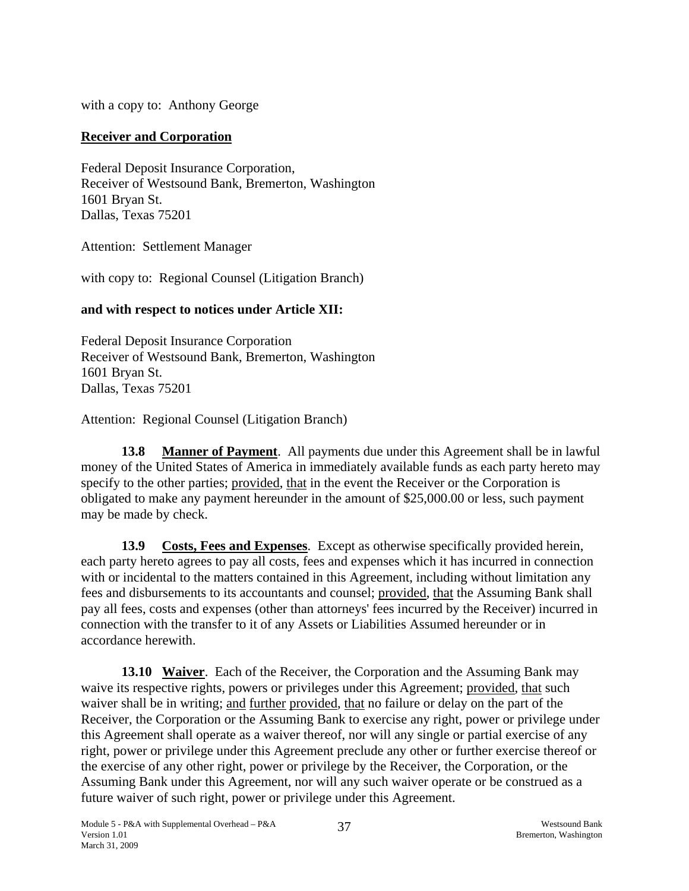<span id="page-40-0"></span>with a copy to: Anthony George

### **Receiver and Corporation**

Federal Deposit Insurance Corporation, Receiver of Westsound Bank, Bremerton, Washington 1601 Bryan St. Dallas, Texas 75201

Attention: Settlement Manager

with copy to: Regional Counsel (Litigation Branch)

### **and with respect to notices under Article XII:**

Federal Deposit Insurance Corporation Receiver of Westsound Bank, Bremerton, Washington 1601 Bryan St. Dallas, Texas 75201

Attention: Regional Counsel (Litigation Branch)

**13.8 Manner of Payment**. All payments due under this Agreement shall be in lawful money of the United States of America in immediately available funds as each party hereto may specify to the other parties; provided, that in the event the Receiver or the Corporation is obligated to make any payment hereunder in the amount of \$25,000.00 or less, such payment may be made by check.

**13.9 Costs, Fees and Expenses**. Except as otherwise specifically provided herein, each party hereto agrees to pay all costs, fees and expenses which it has incurred in connection with or incidental to the matters contained in this Agreement, including without limitation any fees and disbursements to its accountants and counsel; provided, that the Assuming Bank shall pay all fees, costs and expenses (other than attorneys' fees incurred by the Receiver) incurred in connection with the transfer to it of any Assets or Liabilities Assumed hereunder or in accordance herewith.

**13.10 Waiver**. Each of the Receiver, the Corporation and the Assuming Bank may waive its respective rights, powers or privileges under this Agreement; provided, that such waiver shall be in writing; and further provided, that no failure or delay on the part of the Receiver, the Corporation or the Assuming Bank to exercise any right, power or privilege under this Agreement shall operate as a waiver thereof, nor will any single or partial exercise of any right, power or privilege under this Agreement preclude any other or further exercise thereof or the exercise of any other right, power or privilege by the Receiver, the Corporation, or the Assuming Bank under this Agreement, nor will any such waiver operate or be construed as a future waiver of such right, power or privilege under this Agreement.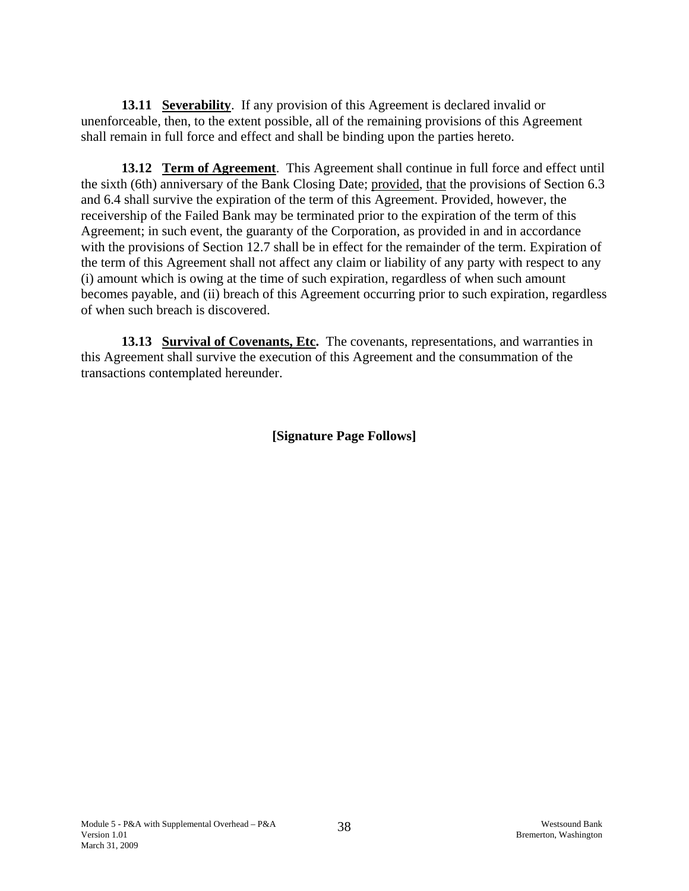<span id="page-41-0"></span>**13.11 Severability**. If any provision of this Agreement is declared invalid or unenforceable, then, to the extent possible, all of the remaining provisions of this Agreement shall remain in full force and effect and shall be binding upon the parties hereto.

**13.12 Term of Agreement**. This Agreement shall continue in full force and effect until the sixth (6th) anniversary of the Bank Closing Date; provided, that the provisions of Section 6.3 and 6.4 shall survive the expiration of the term of this Agreement. Provided, however, the receivership of the Failed Bank may be terminated prior to the expiration of the term of this Agreement; in such event, the guaranty of the Corporation, as provided in and in accordance with the provisions of Section 12.7 shall be in effect for the remainder of the term. Expiration of the term of this Agreement shall not affect any claim or liability of any party with respect to any (i) amount which is owing at the time of such expiration, regardless of when such amount becomes payable, and (ii) breach of this Agreement occurring prior to such expiration, regardless of when such breach is discovered.

**13.13 Survival of Covenants, Etc.** The covenants, representations, and warranties in this Agreement shall survive the execution of this Agreement and the consummation of the transactions contemplated hereunder.

**[Signature Page Follows]**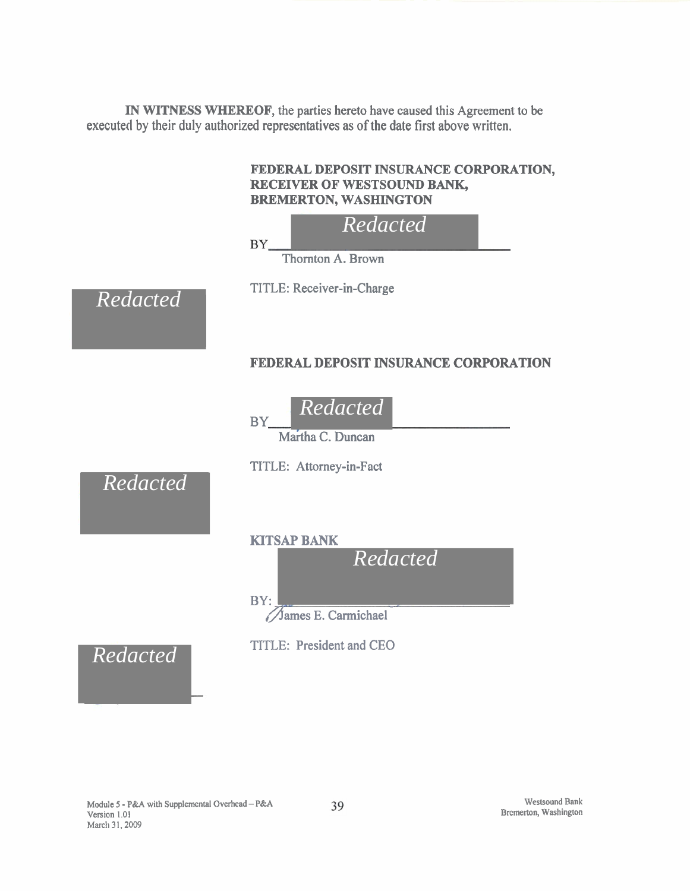**IN WITNESS WHEREOF,** the parties hereto have caused this Agreement to be executed by their duly authorized representatives as of the date first above written.

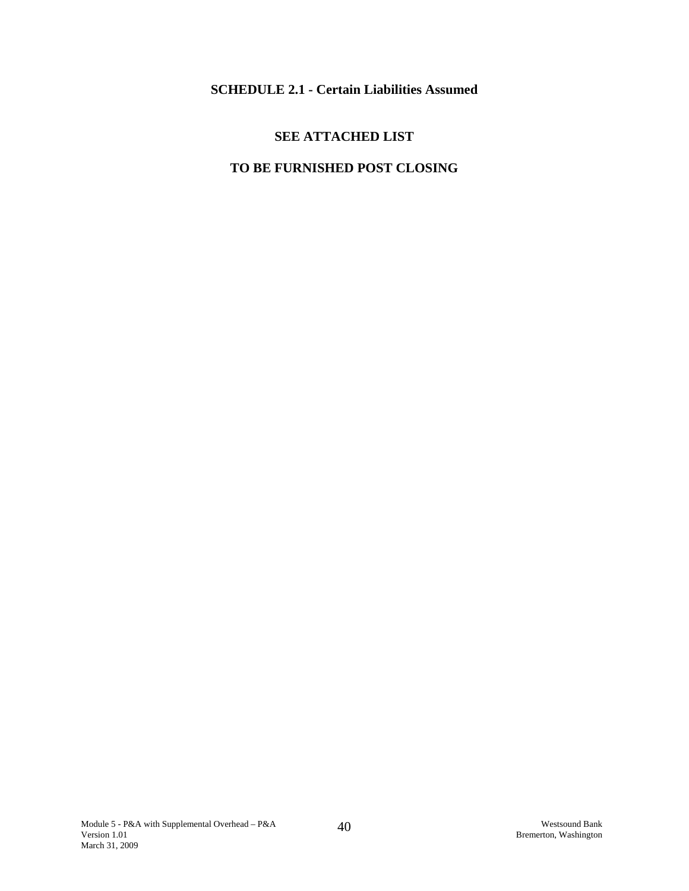## <span id="page-43-0"></span>**SCHEDULE 2.1 - Certain Liabilities Assumed**

### **SEE ATTACHED LIST**

### **TO BE FURNISHED POST CLOSING**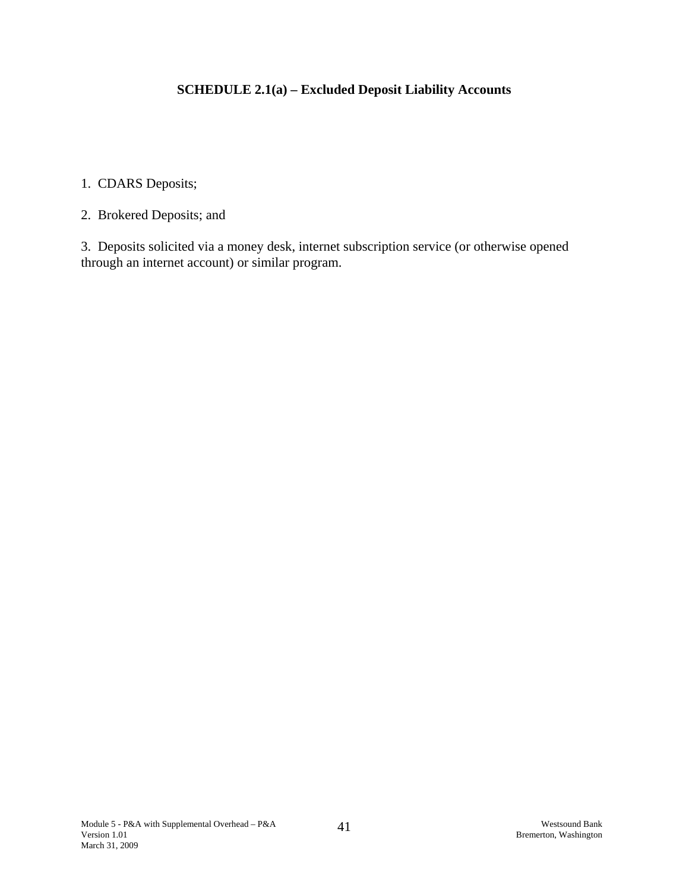### <span id="page-44-0"></span>**SCHEDULE 2.1(a) – Excluded Deposit Liability Accounts**

#### 1. CDARS Deposits;

2. Brokered Deposits; and

3. Deposits solicited via a money desk, internet subscription service (or otherwise opened through an internet account) or similar program.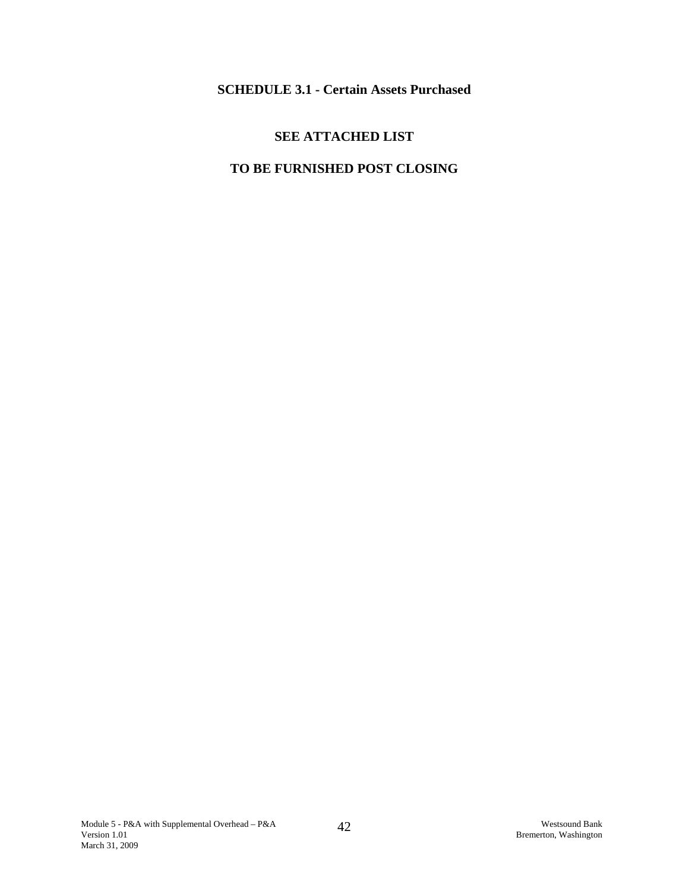<span id="page-45-0"></span>**SCHEDULE 3.1 - Certain Assets Purchased** 

### **SEE ATTACHED LIST**

### **TO BE FURNISHED POST CLOSING**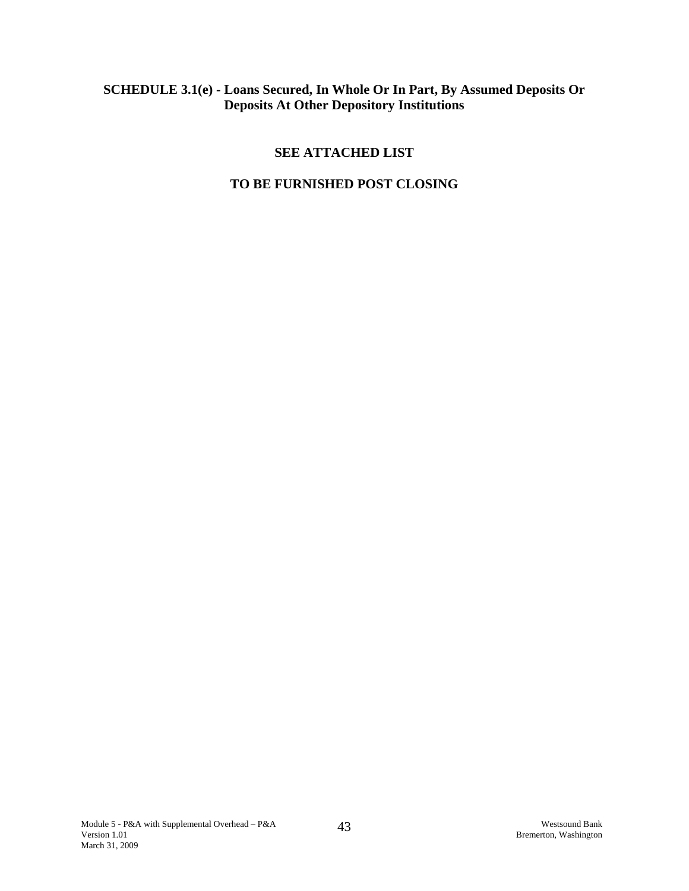### <span id="page-46-0"></span>**SCHEDULE 3.1(e) - Loans Secured, In Whole Or In Part, By Assumed Deposits Or Deposits At Other Depository Institutions**

### **SEE ATTACHED LIST**

### **TO BE FURNISHED POST CLOSING**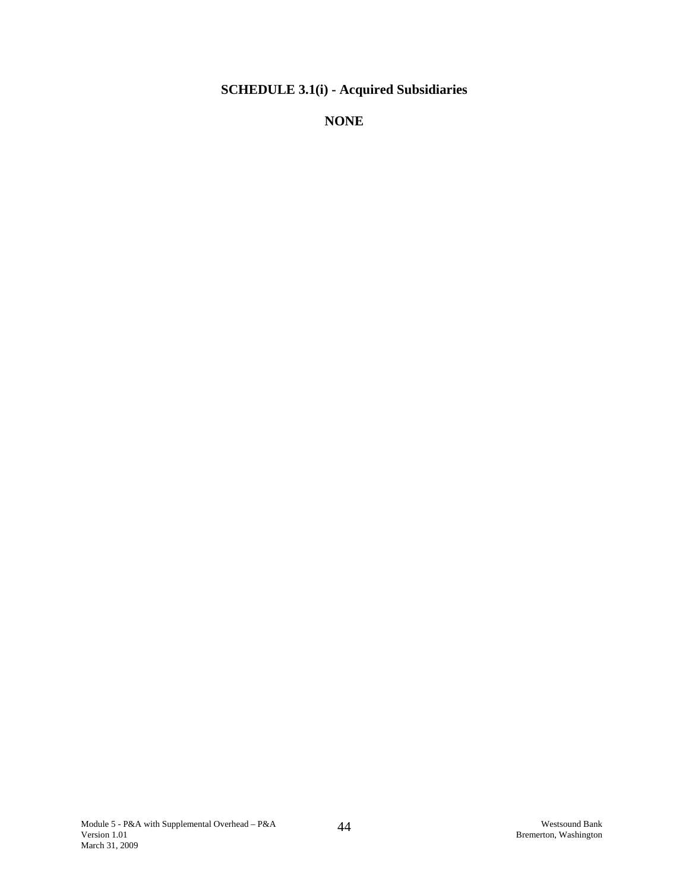<span id="page-47-0"></span>**SCHEDULE 3.1(i) - Acquired Subsidiaries** 

**NONE**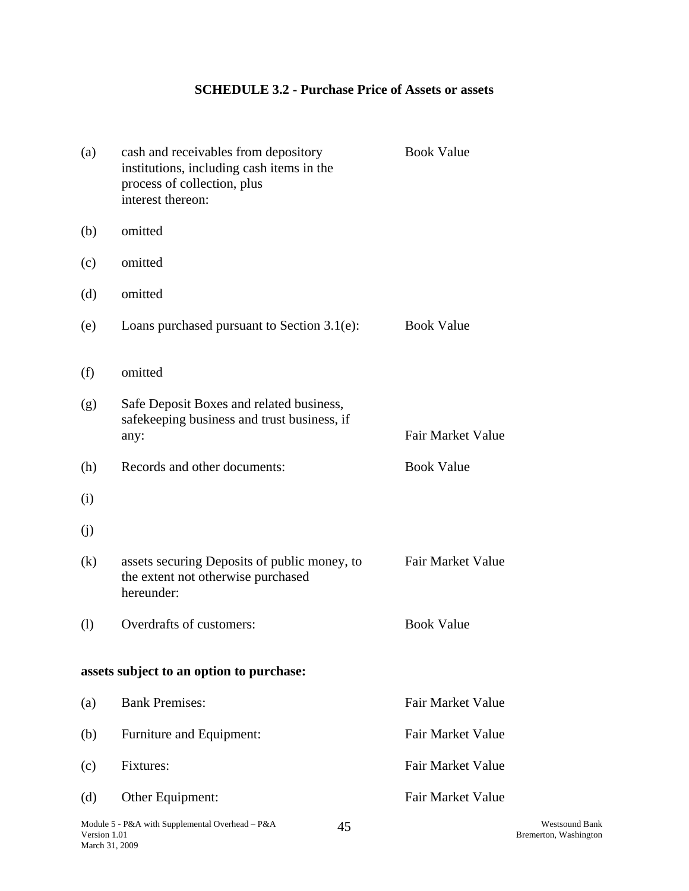# **SCHEDULE 3.2 - Purchase Price of Assets or assets**

| (a)                                      | cash and receivables from depository<br>institutions, including cash items in the<br>process of collection, plus<br>interest thereon: | <b>Book Value</b>        |  |  |
|------------------------------------------|---------------------------------------------------------------------------------------------------------------------------------------|--------------------------|--|--|
| (b)                                      | omitted                                                                                                                               |                          |  |  |
| (c)                                      | omitted                                                                                                                               |                          |  |  |
| (d)                                      | omitted                                                                                                                               |                          |  |  |
| (e)                                      | Loans purchased pursuant to Section $3.1(e)$ :                                                                                        | <b>Book Value</b>        |  |  |
| (f)                                      | omitted                                                                                                                               |                          |  |  |
| (g)                                      | Safe Deposit Boxes and related business,<br>safekeeping business and trust business, if<br>any:                                       | <b>Fair Market Value</b> |  |  |
| (h)                                      | Records and other documents:                                                                                                          | <b>Book Value</b>        |  |  |
| (i)                                      |                                                                                                                                       |                          |  |  |
| (j)                                      |                                                                                                                                       |                          |  |  |
| (k)                                      | assets securing Deposits of public money, to<br>the extent not otherwise purchased<br>hereunder:                                      | Fair Market Value        |  |  |
| (1)                                      | Overdrafts of customers:                                                                                                              | <b>Book Value</b>        |  |  |
| assets subject to an option to purchase: |                                                                                                                                       |                          |  |  |
| (a)                                      | <b>Bank Premises:</b>                                                                                                                 | <b>Fair Market Value</b> |  |  |
| (b)                                      | Furniture and Equipment:                                                                                                              | <b>Fair Market Value</b> |  |  |
| (c)                                      | Fixtures:                                                                                                                             | <b>Fair Market Value</b> |  |  |
| (d)                                      | Other Equipment:                                                                                                                      | Fair Market Value        |  |  |
| Version 1.01<br>March 31, 2009           | Module 5 - $P&A$ with Supplemental Overhead – $P&A$<br>45                                                                             |                          |  |  |